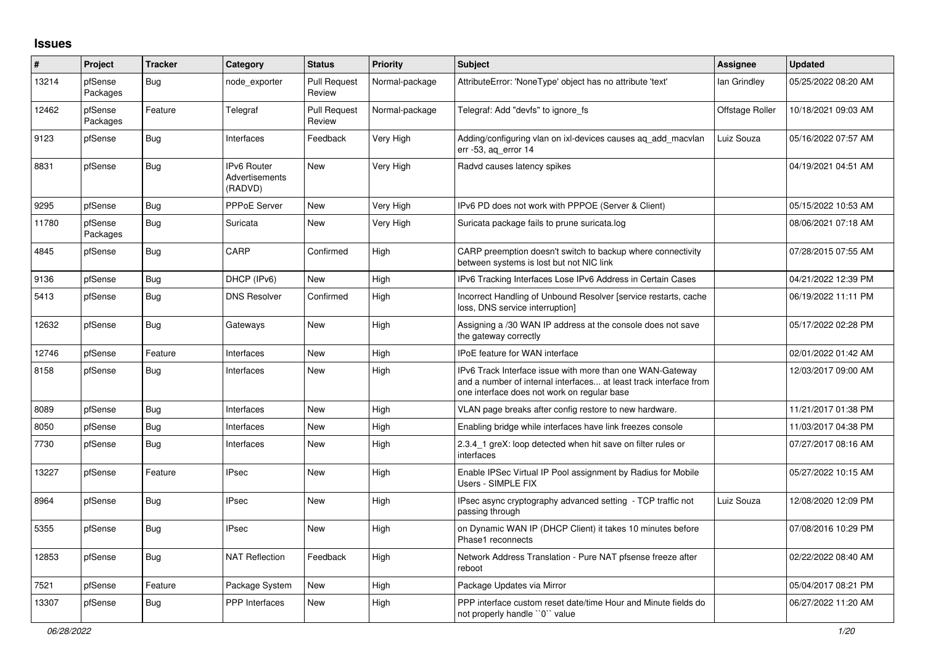## **Issues**

| #     | Project             | <b>Tracker</b> | Category                                        | <b>Status</b>                 | Priority       | <b>Subject</b>                                                                                                                                                                | <b>Assignee</b> | <b>Updated</b>      |
|-------|---------------------|----------------|-------------------------------------------------|-------------------------------|----------------|-------------------------------------------------------------------------------------------------------------------------------------------------------------------------------|-----------------|---------------------|
| 13214 | pfSense<br>Packages | <b>Bug</b>     | node exporter                                   | <b>Pull Request</b><br>Review | Normal-package | AttributeError: 'NoneType' object has no attribute 'text'                                                                                                                     | lan Grindley    | 05/25/2022 08:20 AM |
| 12462 | pfSense<br>Packages | Feature        | Telegraf                                        | <b>Pull Request</b><br>Review | Normal-package | Telegraf: Add "devfs" to ignore fs                                                                                                                                            | Offstage Roller | 10/18/2021 09:03 AM |
| 9123  | pfSense             | Bug            | Interfaces                                      | Feedback                      | Very High      | Adding/configuring vlan on ixi-devices causes ag add macylan<br>err -53, aq_error 14                                                                                          | Luiz Souza      | 05/16/2022 07:57 AM |
| 8831  | pfSense             | <b>Bug</b>     | <b>IPv6 Router</b><br>Advertisements<br>(RADVD) | <b>New</b>                    | Very High      | Radvd causes latency spikes                                                                                                                                                   |                 | 04/19/2021 04:51 AM |
| 9295  | pfSense             | <b>Bug</b>     | <b>PPPoE Server</b>                             | <b>New</b>                    | Very High      | IPv6 PD does not work with PPPOE (Server & Client)                                                                                                                            |                 | 05/15/2022 10:53 AM |
| 11780 | pfSense<br>Packages | <b>Bug</b>     | Suricata                                        | <b>New</b>                    | Very High      | Suricata package fails to prune suricata.log                                                                                                                                  |                 | 08/06/2021 07:18 AM |
| 4845  | pfSense             | <b>Bug</b>     | CARP                                            | Confirmed                     | High           | CARP preemption doesn't switch to backup where connectivity<br>between systems is lost but not NIC link                                                                       |                 | 07/28/2015 07:55 AM |
| 9136  | pfSense             | <b>Bug</b>     | DHCP (IPv6)                                     | <b>New</b>                    | High           | IPv6 Tracking Interfaces Lose IPv6 Address in Certain Cases                                                                                                                   |                 | 04/21/2022 12:39 PM |
| 5413  | pfSense             | <b>Bug</b>     | <b>DNS Resolver</b>                             | Confirmed                     | High           | Incorrect Handling of Unbound Resolver [service restarts, cache<br>loss, DNS service interruption]                                                                            |                 | 06/19/2022 11:11 PM |
| 12632 | pfSense             | Bug            | Gateways                                        | New                           | High           | Assigning a /30 WAN IP address at the console does not save<br>the gateway correctly                                                                                          |                 | 05/17/2022 02:28 PM |
| 12746 | pfSense             | Feature        | Interfaces                                      | New                           | High           | <b>IPoE</b> feature for WAN interface                                                                                                                                         |                 | 02/01/2022 01:42 AM |
| 8158  | pfSense             | <b>Bug</b>     | Interfaces                                      | New                           | High           | IPv6 Track Interface issue with more than one WAN-Gateway<br>and a number of internal interfaces at least track interface from<br>one interface does not work on regular base |                 | 12/03/2017 09:00 AM |
| 8089  | pfSense             | Bug            | Interfaces                                      | <b>New</b>                    | High           | VLAN page breaks after config restore to new hardware.                                                                                                                        |                 | 11/21/2017 01:38 PM |
| 8050  | pfSense             | Bug            | Interfaces                                      | New                           | High           | Enabling bridge while interfaces have link freezes console                                                                                                                    |                 | 11/03/2017 04:38 PM |
| 7730  | pfSense             | <b>Bug</b>     | Interfaces                                      | <b>New</b>                    | High           | 2.3.4_1 greX: loop detected when hit save on filter rules or<br>interfaces                                                                                                    |                 | 07/27/2017 08:16 AM |
| 13227 | pfSense             | Feature        | <b>IPsec</b>                                    | New                           | High           | Enable IPSec Virtual IP Pool assignment by Radius for Mobile<br>Users - SIMPLE FIX                                                                                            |                 | 05/27/2022 10:15 AM |
| 8964  | pfSense             | Bug            | <b>IPsec</b>                                    | <b>New</b>                    | High           | IPsec async cryptography advanced setting - TCP traffic not<br>passing through                                                                                                | Luiz Souza      | 12/08/2020 12:09 PM |
| 5355  | pfSense             | <b>Bug</b>     | <b>IPsec</b>                                    | <b>New</b>                    | High           | on Dynamic WAN IP (DHCP Client) it takes 10 minutes before<br>Phase1 reconnects                                                                                               |                 | 07/08/2016 10:29 PM |
| 12853 | pfSense             | Bug            | <b>NAT Reflection</b>                           | Feedback                      | High           | Network Address Translation - Pure NAT pfsense freeze after<br>reboot                                                                                                         |                 | 02/22/2022 08:40 AM |
| 7521  | pfSense             | Feature        | Package System                                  | <b>New</b>                    | High           | Package Updates via Mirror                                                                                                                                                    |                 | 05/04/2017 08:21 PM |
| 13307 | pfSense             | <b>Bug</b>     | <b>PPP</b> Interfaces                           | New                           | High           | PPP interface custom reset date/time Hour and Minute fields do<br>not properly handle "0" value                                                                               |                 | 06/27/2022 11:20 AM |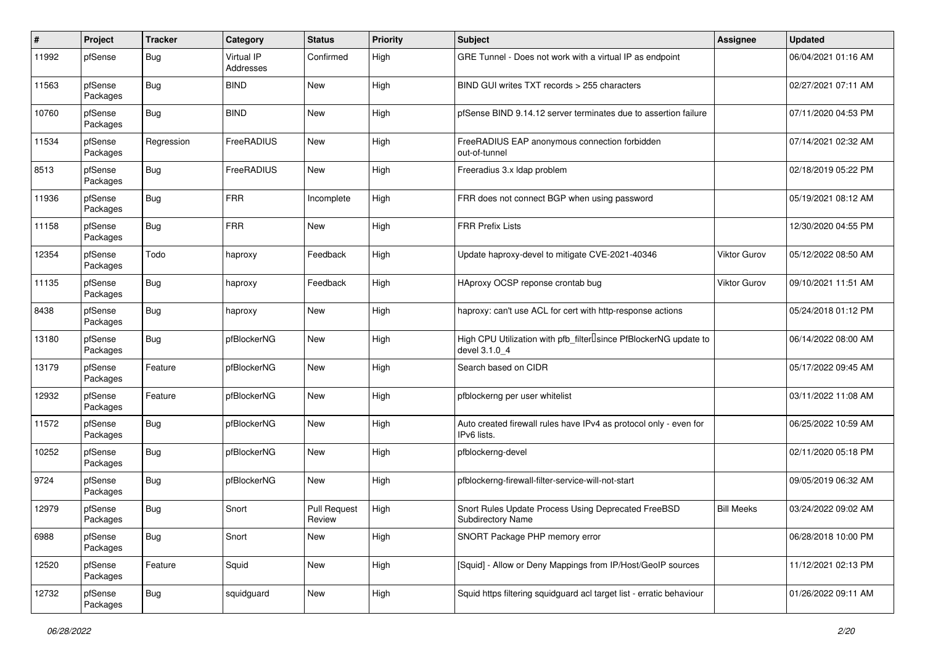| ∦     | Project             | <b>Tracker</b> | Category                | <b>Status</b>                 | <b>Priority</b> | Subject                                                                           | Assignee          | <b>Updated</b>      |
|-------|---------------------|----------------|-------------------------|-------------------------------|-----------------|-----------------------------------------------------------------------------------|-------------------|---------------------|
| 11992 | pfSense             | <b>Bug</b>     | Virtual IP<br>Addresses | Confirmed                     | High            | GRE Tunnel - Does not work with a virtual IP as endpoint                          |                   | 06/04/2021 01:16 AM |
| 11563 | pfSense<br>Packages | Bug            | <b>BIND</b>             | New                           | High            | BIND GUI writes TXT records > 255 characters                                      |                   | 02/27/2021 07:11 AM |
| 10760 | pfSense<br>Packages | Bug            | <b>BIND</b>             | <b>New</b>                    | High            | pfSense BIND 9.14.12 server terminates due to assertion failure                   |                   | 07/11/2020 04:53 PM |
| 11534 | pfSense<br>Packages | Regression     | FreeRADIUS              | New                           | High            | FreeRADIUS EAP anonymous connection forbidden<br>out-of-tunnel                    |                   | 07/14/2021 02:32 AM |
| 8513  | pfSense<br>Packages | i Bug          | FreeRADIUS              | New                           | High            | Freeradius 3.x Idap problem                                                       |                   | 02/18/2019 05:22 PM |
| 11936 | pfSense<br>Packages | <b>Bug</b>     | <b>FRR</b>              | Incomplete                    | High            | FRR does not connect BGP when using password                                      |                   | 05/19/2021 08:12 AM |
| 11158 | pfSense<br>Packages | <b>Bug</b>     | <b>FRR</b>              | New                           | High            | <b>FRR Prefix Lists</b>                                                           |                   | 12/30/2020 04:55 PM |
| 12354 | pfSense<br>Packages | Todo           | haproxy                 | Feedback                      | High            | Update haproxy-devel to mitigate CVE-2021-40346                                   | Viktor Gurov      | 05/12/2022 08:50 AM |
| 11135 | pfSense<br>Packages | Bug            | haproxy                 | Feedback                      | High            | HAproxy OCSP reponse crontab bug                                                  | Viktor Gurov      | 09/10/2021 11:51 AM |
| 8438  | pfSense<br>Packages | <b>Bug</b>     | haproxy                 | <b>New</b>                    | High            | haproxy: can't use ACL for cert with http-response actions                        |                   | 05/24/2018 01:12 PM |
| 13180 | pfSense<br>Packages | Bug            | pfBlockerNG             | <b>New</b>                    | High            | High CPU Utilization with pfb_filterlsince PfBlockerNG update to<br>devel 3.1.0 4 |                   | 06/14/2022 08:00 AM |
| 13179 | pfSense<br>Packages | Feature        | pfBlockerNG             | New                           | High            | Search based on CIDR                                                              |                   | 05/17/2022 09:45 AM |
| 12932 | pfSense<br>Packages | Feature        | pfBlockerNG             | New                           | High            | pfblockerng per user whitelist                                                    |                   | 03/11/2022 11:08 AM |
| 11572 | pfSense<br>Packages | <b>Bug</b>     | pfBlockerNG             | <b>New</b>                    | High            | Auto created firewall rules have IPv4 as protocol only - even for<br>IPv6 lists.  |                   | 06/25/2022 10:59 AM |
| 10252 | pfSense<br>Packages | <b>Bug</b>     | pfBlockerNG             | <b>New</b>                    | High            | pfblockerng-devel                                                                 |                   | 02/11/2020 05:18 PM |
| 9724  | pfSense<br>Packages | <b>Bug</b>     | pfBlockerNG             | New                           | High            | pfblockerng-firewall-filter-service-will-not-start                                |                   | 09/05/2019 06:32 AM |
| 12979 | pfSense<br>Packages | <b>Bug</b>     | Snort                   | <b>Pull Request</b><br>Review | High            | Snort Rules Update Process Using Deprecated FreeBSD<br>Subdirectory Name          | <b>Bill Meeks</b> | 03/24/2022 09:02 AM |
| 6988  | pfSense<br>Packages | <b>Bug</b>     | Snort                   | New                           | High            | SNORT Package PHP memory error                                                    |                   | 06/28/2018 10:00 PM |
| 12520 | pfSense<br>Packages | Feature        | Squid                   | New                           | High            | [Squid] - Allow or Deny Mappings from IP/Host/GeoIP sources                       |                   | 11/12/2021 02:13 PM |
| 12732 | pfSense<br>Packages | <b>Bug</b>     | squidguard              | New                           | High            | Squid https filtering squidguard acl target list - erratic behaviour              |                   | 01/26/2022 09:11 AM |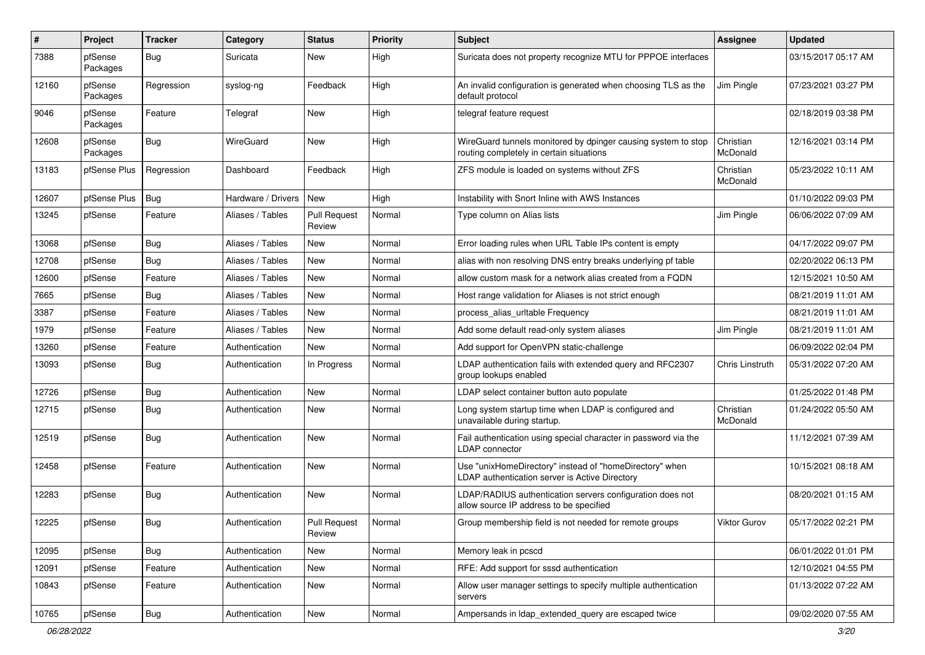| #     | Project             | <b>Tracker</b> | Category           | <b>Status</b>                 | <b>Priority</b> | Subject                                                                                                   | <b>Assignee</b>       | <b>Updated</b>      |
|-------|---------------------|----------------|--------------------|-------------------------------|-----------------|-----------------------------------------------------------------------------------------------------------|-----------------------|---------------------|
| 7388  | pfSense<br>Packages | <b>Bug</b>     | Suricata           | New                           | High            | Suricata does not property recognize MTU for PPPOE interfaces                                             |                       | 03/15/2017 05:17 AM |
| 12160 | pfSense<br>Packages | Regression     | syslog-ng          | Feedback                      | High            | An invalid configuration is generated when choosing TLS as the<br>default protocol                        | Jim Pingle            | 07/23/2021 03:27 PM |
| 9046  | pfSense<br>Packages | Feature        | Telegraf           | New                           | High            | telegraf feature request                                                                                  |                       | 02/18/2019 03:38 PM |
| 12608 | pfSense<br>Packages | Bug            | WireGuard          | New                           | High            | WireGuard tunnels monitored by dpinger causing system to stop<br>routing completely in certain situations | Christian<br>McDonald | 12/16/2021 03:14 PM |
| 13183 | pfSense Plus        | Regression     | Dashboard          | Feedback                      | High            | ZFS module is loaded on systems without ZFS                                                               | Christian<br>McDonald | 05/23/2022 10:11 AM |
| 12607 | pfSense Plus        | Bug            | Hardware / Drivers | <b>New</b>                    | High            | Instability with Snort Inline with AWS Instances                                                          |                       | 01/10/2022 09:03 PM |
| 13245 | pfSense             | Feature        | Aliases / Tables   | <b>Pull Request</b><br>Review | Normal          | Type column on Alias lists                                                                                | Jim Pingle            | 06/06/2022 07:09 AM |
| 13068 | pfSense             | <b>Bug</b>     | Aliases / Tables   | New                           | Normal          | Error loading rules when URL Table IPs content is empty                                                   |                       | 04/17/2022 09:07 PM |
| 12708 | pfSense             | <b>Bug</b>     | Aliases / Tables   | New                           | Normal          | alias with non resolving DNS entry breaks underlying pf table                                             |                       | 02/20/2022 06:13 PM |
| 12600 | pfSense             | Feature        | Aliases / Tables   | New                           | Normal          | allow custom mask for a network alias created from a FQDN                                                 |                       | 12/15/2021 10:50 AM |
| 7665  | pfSense             | Bug            | Aliases / Tables   | New                           | Normal          | Host range validation for Aliases is not strict enough                                                    |                       | 08/21/2019 11:01 AM |
| 3387  | pfSense             | Feature        | Aliases / Tables   | New                           | Normal          | process alias urltable Frequency                                                                          |                       | 08/21/2019 11:01 AM |
| 1979  | pfSense             | Feature        | Aliases / Tables   | New                           | Normal          | Add some default read-only system aliases                                                                 | Jim Pingle            | 08/21/2019 11:01 AM |
| 13260 | pfSense             | Feature        | Authentication     | New                           | Normal          | Add support for OpenVPN static-challenge                                                                  |                       | 06/09/2022 02:04 PM |
| 13093 | pfSense             | <b>Bug</b>     | Authentication     | In Progress                   | Normal          | LDAP authentication fails with extended query and RFC2307<br>group lookups enabled                        | Chris Linstruth       | 05/31/2022 07:20 AM |
| 12726 | pfSense             | <b>Bug</b>     | Authentication     | New                           | Normal          | LDAP select container button auto populate                                                                |                       | 01/25/2022 01:48 PM |
| 12715 | pfSense             | Bug            | Authentication     | New                           | Normal          | Long system startup time when LDAP is configured and<br>unavailable during startup.                       | Christian<br>McDonald | 01/24/2022 05:50 AM |
| 12519 | pfSense             | <b>Bug</b>     | Authentication     | New                           | Normal          | Fail authentication using special character in password via the<br><b>LDAP</b> connector                  |                       | 11/12/2021 07:39 AM |
| 12458 | pfSense             | Feature        | Authentication     | New                           | Normal          | Use "unixHomeDirectory" instead of "homeDirectory" when<br>LDAP authentication server is Active Directory |                       | 10/15/2021 08:18 AM |
| 12283 | pfSense             | Bug            | Authentication     | New                           | Normal          | LDAP/RADIUS authentication servers configuration does not<br>allow source IP address to be specified      |                       | 08/20/2021 01:15 AM |
| 12225 | pfSense             | <b>Bug</b>     | Authentication     | Pull Request<br>Review        | Normal          | Group membership field is not needed for remote groups                                                    | Viktor Gurov          | 05/17/2022 02:21 PM |
| 12095 | pfSense             | <b>Bug</b>     | Authentication     | New                           | Normal          | Memory leak in pcscd                                                                                      |                       | 06/01/2022 01:01 PM |
| 12091 | pfSense             | Feature        | Authentication     | New                           | Normal          | RFE: Add support for sssd authentication                                                                  |                       | 12/10/2021 04:55 PM |
| 10843 | pfSense             | Feature        | Authentication     | New                           | Normal          | Allow user manager settings to specify multiple authentication<br>servers                                 |                       | 01/13/2022 07:22 AM |
| 10765 | pfSense             | <b>Bug</b>     | Authentication     | New                           | Normal          | Ampersands in Idap extended query are escaped twice                                                       |                       | 09/02/2020 07:55 AM |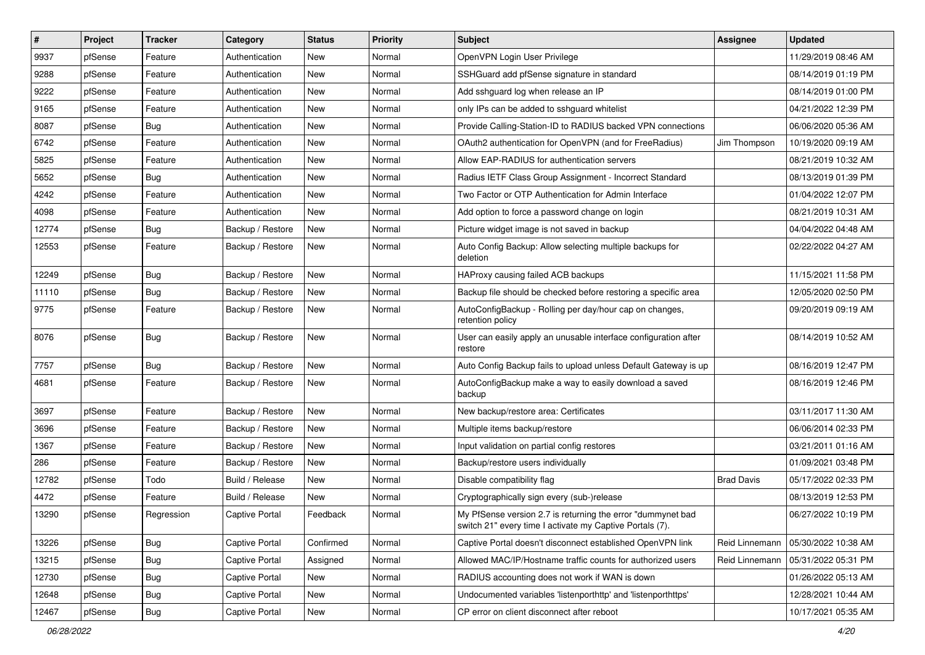| $\vert$ # | Project | <b>Tracker</b> | Category              | <b>Status</b> | <b>Priority</b> | <b>Subject</b>                                                                                                          | <b>Assignee</b>   | <b>Updated</b>      |
|-----------|---------|----------------|-----------------------|---------------|-----------------|-------------------------------------------------------------------------------------------------------------------------|-------------------|---------------------|
| 9937      | pfSense | Feature        | Authentication        | New           | Normal          | OpenVPN Login User Privilege                                                                                            |                   | 11/29/2019 08:46 AM |
| 9288      | pfSense | Feature        | Authentication        | New           | Normal          | SSHGuard add pfSense signature in standard                                                                              |                   | 08/14/2019 01:19 PM |
| 9222      | pfSense | Feature        | Authentication        | New           | Normal          | Add sshguard log when release an IP                                                                                     |                   | 08/14/2019 01:00 PM |
| 9165      | pfSense | Feature        | Authentication        | New           | Normal          | only IPs can be added to sshquard whitelist                                                                             |                   | 04/21/2022 12:39 PM |
| 8087      | pfSense | <b>Bug</b>     | Authentication        | New           | Normal          | Provide Calling-Station-ID to RADIUS backed VPN connections                                                             |                   | 06/06/2020 05:36 AM |
| 6742      | pfSense | Feature        | Authentication        | New           | Normal          | OAuth2 authentication for OpenVPN (and for FreeRadius)                                                                  | Jim Thompson      | 10/19/2020 09:19 AM |
| 5825      | pfSense | Feature        | Authentication        | New           | Normal          | Allow EAP-RADIUS for authentication servers                                                                             |                   | 08/21/2019 10:32 AM |
| 5652      | pfSense | Bug            | Authentication        | New           | Normal          | Radius IETF Class Group Assignment - Incorrect Standard                                                                 |                   | 08/13/2019 01:39 PM |
| 4242      | pfSense | Feature        | Authentication        | New           | Normal          | Two Factor or OTP Authentication for Admin Interface                                                                    |                   | 01/04/2022 12:07 PM |
| 4098      | pfSense | Feature        | Authentication        | New           | Normal          | Add option to force a password change on login                                                                          |                   | 08/21/2019 10:31 AM |
| 12774     | pfSense | <b>Bug</b>     | Backup / Restore      | New           | Normal          | Picture widget image is not saved in backup                                                                             |                   | 04/04/2022 04:48 AM |
| 12553     | pfSense | Feature        | Backup / Restore      | New           | Normal          | Auto Config Backup: Allow selecting multiple backups for<br>deletion                                                    |                   | 02/22/2022 04:27 AM |
| 12249     | pfSense | Bug            | Backup / Restore      | New           | Normal          | HAProxy causing failed ACB backups                                                                                      |                   | 11/15/2021 11:58 PM |
| 11110     | pfSense | <b>Bug</b>     | Backup / Restore      | New           | Normal          | Backup file should be checked before restoring a specific area                                                          |                   | 12/05/2020 02:50 PM |
| 9775      | pfSense | Feature        | Backup / Restore      | New           | Normal          | AutoConfigBackup - Rolling per day/hour cap on changes,<br>retention policy                                             |                   | 09/20/2019 09:19 AM |
| 8076      | pfSense | Bug            | Backup / Restore      | New           | Normal          | User can easily apply an unusable interface configuration after<br>restore                                              |                   | 08/14/2019 10:52 AM |
| 7757      | pfSense | Bug            | Backup / Restore      | New           | Normal          | Auto Config Backup fails to upload unless Default Gateway is up                                                         |                   | 08/16/2019 12:47 PM |
| 4681      | pfSense | Feature        | Backup / Restore      | New           | Normal          | AutoConfigBackup make a way to easily download a saved<br>backup                                                        |                   | 08/16/2019 12:46 PM |
| 3697      | pfSense | Feature        | Backup / Restore      | New           | Normal          | New backup/restore area: Certificates                                                                                   |                   | 03/11/2017 11:30 AM |
| 3696      | pfSense | Feature        | Backup / Restore      | New           | Normal          | Multiple items backup/restore                                                                                           |                   | 06/06/2014 02:33 PM |
| 1367      | pfSense | Feature        | Backup / Restore      | New           | Normal          | Input validation on partial config restores                                                                             |                   | 03/21/2011 01:16 AM |
| 286       | pfSense | Feature        | Backup / Restore      | New           | Normal          | Backup/restore users individually                                                                                       |                   | 01/09/2021 03:48 PM |
| 12782     | pfSense | Todo           | Build / Release       | New           | Normal          | Disable compatibility flag                                                                                              | <b>Brad Davis</b> | 05/17/2022 02:33 PM |
| 4472      | pfSense | Feature        | Build / Release       | New           | Normal          | Cryptographically sign every (sub-)release                                                                              |                   | 08/13/2019 12:53 PM |
| 13290     | pfSense | Regression     | <b>Captive Portal</b> | Feedback      | Normal          | My PfSense version 2.7 is returning the error "dummynet bad<br>switch 21" every time I activate my Captive Portals (7). |                   | 06/27/2022 10:19 PM |
| 13226     | pfSense | Bug            | <b>Captive Portal</b> | Confirmed     | Normal          | Captive Portal doesn't disconnect established OpenVPN link                                                              | Reid Linnemann    | 05/30/2022 10:38 AM |
| 13215     | pfSense | <b>Bug</b>     | <b>Captive Portal</b> | Assigned      | Normal          | Allowed MAC/IP/Hostname traffic counts for authorized users                                                             | Reid Linnemann    | 05/31/2022 05:31 PM |
| 12730     | pfSense | <b>Bug</b>     | Captive Portal        | New           | Normal          | RADIUS accounting does not work if WAN is down                                                                          |                   | 01/26/2022 05:13 AM |
| 12648     | pfSense | <b>Bug</b>     | Captive Portal        | New           | Normal          | Undocumented variables 'listenporthttp' and 'listenporthttps'                                                           |                   | 12/28/2021 10:44 AM |
| 12467     | pfSense | <b>Bug</b>     | Captive Portal        | New           | Normal          | CP error on client disconnect after reboot                                                                              |                   | 10/17/2021 05:35 AM |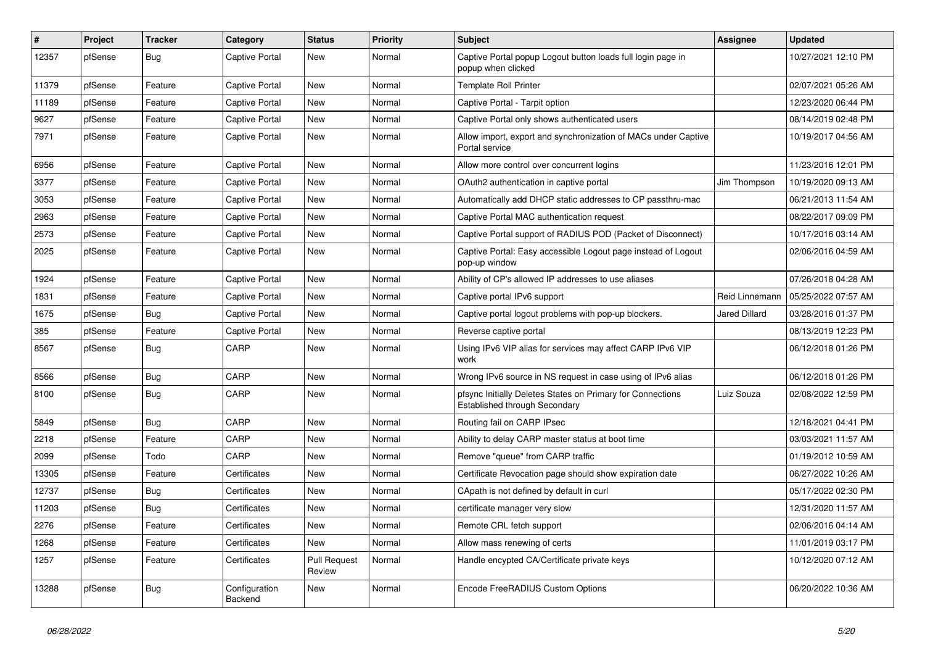| #     | Project | <b>Tracker</b> | Category                 | <b>Status</b>                 | Priority | Subject                                                                                     | <b>Assignee</b> | <b>Updated</b>      |
|-------|---------|----------------|--------------------------|-------------------------------|----------|---------------------------------------------------------------------------------------------|-----------------|---------------------|
| 12357 | pfSense | <b>Bug</b>     | <b>Captive Portal</b>    | New                           | Normal   | Captive Portal popup Logout button loads full login page in<br>popup when clicked           |                 | 10/27/2021 12:10 PM |
| 11379 | pfSense | Feature        | <b>Captive Portal</b>    | New                           | Normal   | <b>Template Roll Printer</b>                                                                |                 | 02/07/2021 05:26 AM |
| 11189 | pfSense | Feature        | <b>Captive Portal</b>    | New                           | Normal   | Captive Portal - Tarpit option                                                              |                 | 12/23/2020 06:44 PM |
| 9627  | pfSense | Feature        | <b>Captive Portal</b>    | New                           | Normal   | Captive Portal only shows authenticated users                                               |                 | 08/14/2019 02:48 PM |
| 7971  | pfSense | Feature        | <b>Captive Portal</b>    | New                           | Normal   | Allow import, export and synchronization of MACs under Captive<br>Portal service            |                 | 10/19/2017 04:56 AM |
| 6956  | pfSense | Feature        | <b>Captive Portal</b>    | <b>New</b>                    | Normal   | Allow more control over concurrent logins                                                   |                 | 11/23/2016 12:01 PM |
| 3377  | pfSense | Feature        | <b>Captive Portal</b>    | New                           | Normal   | OAuth2 authentication in captive portal                                                     | Jim Thompson    | 10/19/2020 09:13 AM |
| 3053  | pfSense | Feature        | <b>Captive Portal</b>    | New                           | Normal   | Automatically add DHCP static addresses to CP passthru-mac                                  |                 | 06/21/2013 11:54 AM |
| 2963  | pfSense | Feature        | <b>Captive Portal</b>    | New                           | Normal   | Captive Portal MAC authentication request                                                   |                 | 08/22/2017 09:09 PM |
| 2573  | pfSense | Feature        | <b>Captive Portal</b>    | New                           | Normal   | Captive Portal support of RADIUS POD (Packet of Disconnect)                                 |                 | 10/17/2016 03:14 AM |
| 2025  | pfSense | Feature        | <b>Captive Portal</b>    | New                           | Normal   | Captive Portal: Easy accessible Logout page instead of Logout<br>pop-up window              |                 | 02/06/2016 04:59 AM |
| 1924  | pfSense | Feature        | <b>Captive Portal</b>    | New                           | Normal   | Ability of CP's allowed IP addresses to use aliases                                         |                 | 07/26/2018 04:28 AM |
| 1831  | pfSense | Feature        | <b>Captive Portal</b>    | <b>New</b>                    | Normal   | Captive portal IPv6 support                                                                 | Reid Linnemann  | 05/25/2022 07:57 AM |
| 1675  | pfSense | Bug            | <b>Captive Portal</b>    | New                           | Normal   | Captive portal logout problems with pop-up blockers.                                        | Jared Dillard   | 03/28/2016 01:37 PM |
| 385   | pfSense | Feature        | <b>Captive Portal</b>    | New                           | Normal   | Reverse captive portal                                                                      |                 | 08/13/2019 12:23 PM |
| 8567  | pfSense | Bug            | CARP                     | New                           | Normal   | Using IPv6 VIP alias for services may affect CARP IPv6 VIP<br>work                          |                 | 06/12/2018 01:26 PM |
| 8566  | pfSense | <b>Bug</b>     | CARP                     | New                           | Normal   | Wrong IPv6 source in NS request in case using of IPv6 alias                                 |                 | 06/12/2018 01:26 PM |
| 8100  | pfSense | <b>Bug</b>     | CARP                     | New                           | Normal   | pfsync Initially Deletes States on Primary for Connections<br>Established through Secondary | Luiz Souza      | 02/08/2022 12:59 PM |
| 5849  | pfSense | <b>Bug</b>     | CARP                     | New                           | Normal   | Routing fail on CARP IPsec                                                                  |                 | 12/18/2021 04:41 PM |
| 2218  | pfSense | Feature        | CARP                     | New                           | Normal   | Ability to delay CARP master status at boot time                                            |                 | 03/03/2021 11:57 AM |
| 2099  | pfSense | Todo           | CARP                     | New                           | Normal   | Remove "queue" from CARP traffic                                                            |                 | 01/19/2012 10:59 AM |
| 13305 | pfSense | Feature        | Certificates             | New                           | Normal   | Certificate Revocation page should show expiration date                                     |                 | 06/27/2022 10:26 AM |
| 12737 | pfSense | <b>Bug</b>     | Certificates             | New                           | Normal   | CApath is not defined by default in curl                                                    |                 | 05/17/2022 02:30 PM |
| 11203 | pfSense | Bug            | Certificates             | New                           | Normal   | certificate manager very slow                                                               |                 | 12/31/2020 11:57 AM |
| 2276  | pfSense | Feature        | Certificates             | New                           | Normal   | Remote CRL fetch support                                                                    |                 |                     |
| 1268  | pfSense | Feature        | Certificates             | New                           | Normal   | Allow mass renewing of certs                                                                |                 | 11/01/2019 03:17 PM |
| 1257  | pfSense | Feature        | Certificates             | <b>Pull Request</b><br>Review | Normal   | Handle encypted CA/Certificate private keys                                                 |                 | 10/12/2020 07:12 AM |
| 13288 | pfSense | <b>Bug</b>     | Configuration<br>Backend | New                           | Normal   | Encode FreeRADIUS Custom Options                                                            |                 | 06/20/2022 10:36 AM |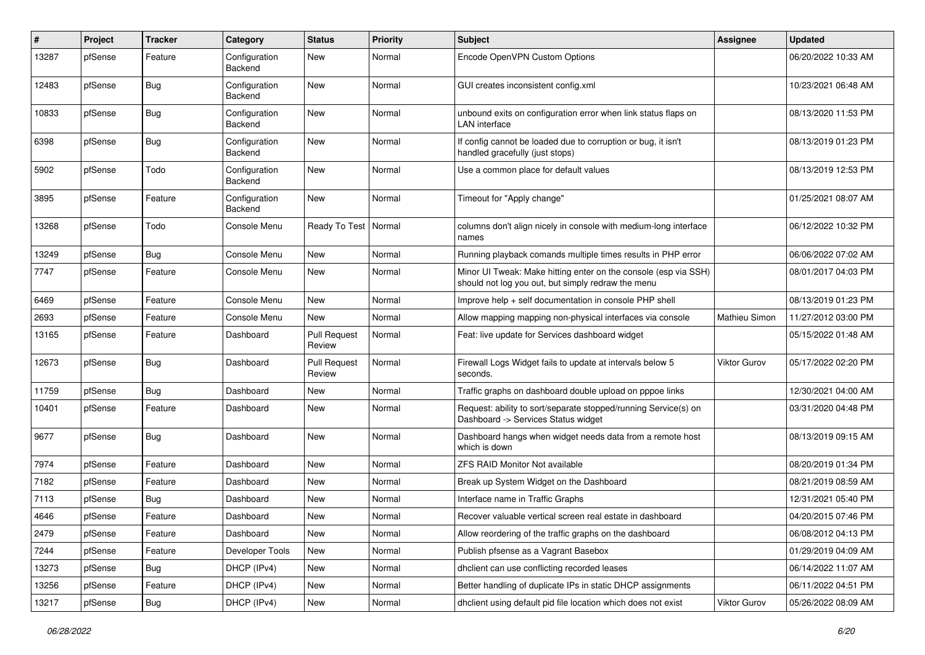| ∦     | Project | <b>Tracker</b> | Category                 | <b>Status</b>                 | Priority | <b>Subject</b>                                                                                                        | <b>Assignee</b>      | <b>Updated</b>      |
|-------|---------|----------------|--------------------------|-------------------------------|----------|-----------------------------------------------------------------------------------------------------------------------|----------------------|---------------------|
| 13287 | pfSense | Feature        | Configuration<br>Backend | New                           | Normal   | Encode OpenVPN Custom Options                                                                                         |                      | 06/20/2022 10:33 AM |
| 12483 | pfSense | Bug            | Configuration<br>Backend | New                           | Normal   | GUI creates inconsistent config.xml                                                                                   |                      | 10/23/2021 06:48 AM |
| 10833 | pfSense | <b>Bug</b>     | Configuration<br>Backend | New                           | Normal   | unbound exits on configuration error when link status flaps on<br><b>LAN</b> interface                                |                      | 08/13/2020 11:53 PM |
| 6398  | pfSense | <b>Bug</b>     | Configuration<br>Backend | New                           | Normal   | If config cannot be loaded due to corruption or bug, it isn't<br>handled gracefully (just stops)                      |                      | 08/13/2019 01:23 PM |
| 5902  | pfSense | Todo           | Configuration<br>Backend | New                           | Normal   | Use a common place for default values                                                                                 |                      | 08/13/2019 12:53 PM |
| 3895  | pfSense | Feature        | Configuration<br>Backend | <b>New</b>                    | Normal   | Timeout for "Apply change"                                                                                            |                      | 01/25/2021 08:07 AM |
| 13268 | pfSense | Todo           | Console Menu             | Ready To Test   Normal        |          | columns don't align nicely in console with medium-long interface<br>names                                             |                      | 06/12/2022 10:32 PM |
| 13249 | pfSense | Bug            | Console Menu             | New                           | Normal   | Running playback comands multiple times results in PHP error                                                          |                      | 06/06/2022 07:02 AM |
| 7747  | pfSense | Feature        | Console Menu             | New                           | Normal   | Minor UI Tweak: Make hitting enter on the console (esp via SSH)<br>should not log you out, but simply redraw the menu |                      | 08/01/2017 04:03 PM |
| 6469  | pfSense | Feature        | Console Menu             | New                           | Normal   | Improve help + self documentation in console PHP shell                                                                |                      | 08/13/2019 01:23 PM |
| 2693  | pfSense | Feature        | Console Menu             | <b>New</b>                    | Normal   | Allow mapping mapping non-physical interfaces via console                                                             | <b>Mathieu Simon</b> | 11/27/2012 03:00 PM |
| 13165 | pfSense | Feature        | Dashboard                | <b>Pull Request</b><br>Review | Normal   | Feat: live update for Services dashboard widget                                                                       |                      | 05/15/2022 01:48 AM |
| 12673 | pfSense | <b>Bug</b>     | Dashboard                | <b>Pull Request</b><br>Review | Normal   | Firewall Logs Widget fails to update at intervals below 5<br>seconds.                                                 | Viktor Gurov         | 05/17/2022 02:20 PM |
| 11759 | pfSense | <b>Bug</b>     | Dashboard                | <b>New</b>                    | Normal   | Traffic graphs on dashboard double upload on pppoe links                                                              |                      | 12/30/2021 04:00 AM |
| 10401 | pfSense | Feature        | Dashboard                | New                           | Normal   | Request: ability to sort/separate stopped/running Service(s) on<br>Dashboard -> Services Status widget                |                      | 03/31/2020 04:48 PM |
| 9677  | pfSense | <b>Bug</b>     | Dashboard                | New                           | Normal   | Dashboard hangs when widget needs data from a remote host<br>which is down                                            |                      | 08/13/2019 09:15 AM |
| 7974  | pfSense | Feature        | Dashboard                | New                           | Normal   | <b>ZFS RAID Monitor Not available</b>                                                                                 |                      | 08/20/2019 01:34 PM |
| 7182  | pfSense | Feature        | Dashboard                | New                           | Normal   | Break up System Widget on the Dashboard                                                                               |                      | 08/21/2019 08:59 AM |
| 7113  | pfSense | <b>Bug</b>     | Dashboard                | New                           | Normal   | Interface name in Traffic Graphs                                                                                      |                      | 12/31/2021 05:40 PM |
| 4646  | pfSense | Feature        | Dashboard                | New                           | Normal   | Recover valuable vertical screen real estate in dashboard                                                             |                      | 04/20/2015 07:46 PM |
| 2479  | pfSense | Feature        | Dashboard                | New                           | Normal   | Allow reordering of the traffic graphs on the dashboard                                                               |                      | 06/08/2012 04:13 PM |
| 7244  | pfSense | Feature        | Developer Tools          | New                           | Normal   | Publish pfsense as a Vagrant Basebox                                                                                  |                      | 01/29/2019 04:09 AM |
| 13273 | pfSense | <b>Bug</b>     | DHCP (IPv4)              | New                           | Normal   | dhclient can use conflicting recorded leases                                                                          |                      | 06/14/2022 11:07 AM |
| 13256 | pfSense | Feature        | DHCP (IPv4)              | New                           | Normal   | Better handling of duplicate IPs in static DHCP assignments                                                           |                      | 06/11/2022 04:51 PM |
| 13217 | pfSense | <b>Bug</b>     | DHCP (IPv4)              | New                           | Normal   | dhclient using default pid file location which does not exist                                                         | Viktor Gurov         | 05/26/2022 08:09 AM |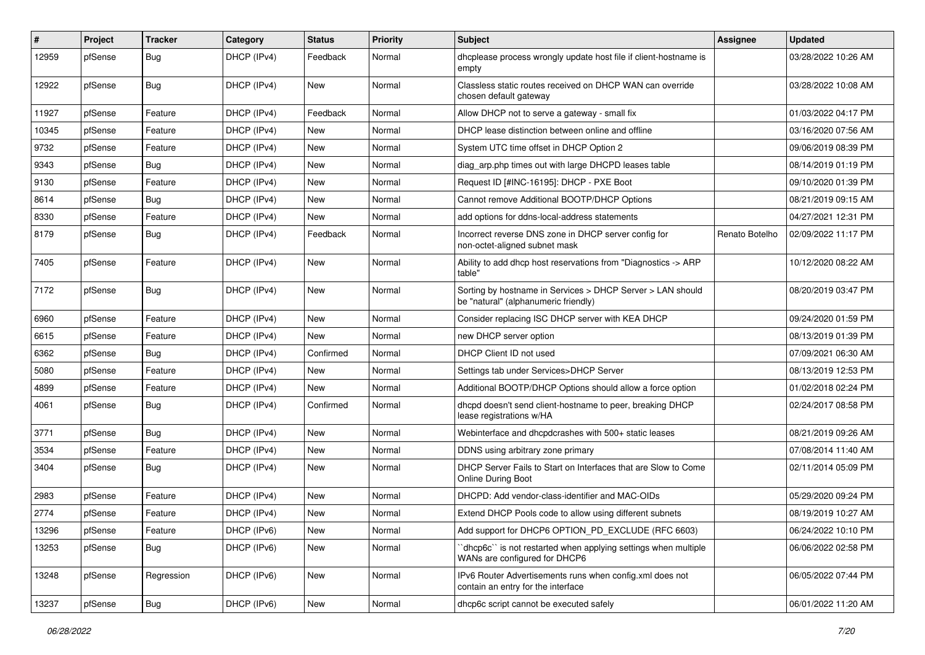| #     | Project | <b>Tracker</b> | Category    | <b>Status</b> | Priority | <b>Subject</b>                                                                                     | Assignee       | <b>Updated</b>      |
|-------|---------|----------------|-------------|---------------|----------|----------------------------------------------------------------------------------------------------|----------------|---------------------|
| 12959 | pfSense | Bug            | DHCP (IPv4) | Feedback      | Normal   | dhcplease process wrongly update host file if client-hostname is<br>empty                          |                | 03/28/2022 10:26 AM |
| 12922 | pfSense | Bug            | DHCP (IPv4) | New           | Normal   | Classless static routes received on DHCP WAN can override<br>chosen default gateway                |                | 03/28/2022 10:08 AM |
| 11927 | pfSense | Feature        | DHCP (IPv4) | Feedback      | Normal   | Allow DHCP not to serve a gateway - small fix                                                      |                | 01/03/2022 04:17 PM |
| 10345 | pfSense | Feature        | DHCP (IPv4) | New           | Normal   | DHCP lease distinction between online and offline                                                  |                | 03/16/2020 07:56 AM |
| 9732  | pfSense | Feature        | DHCP (IPv4) | New           | Normal   | System UTC time offset in DHCP Option 2                                                            |                | 09/06/2019 08:39 PM |
| 9343  | pfSense | Bug            | DHCP (IPv4) | <b>New</b>    | Normal   | diag_arp.php times out with large DHCPD leases table                                               |                | 08/14/2019 01:19 PM |
| 9130  | pfSense | Feature        | DHCP (IPv4) | New           | Normal   | Request ID [#INC-16195]: DHCP - PXE Boot                                                           |                | 09/10/2020 01:39 PM |
| 8614  | pfSense | <b>Bug</b>     | DHCP (IPv4) | New           | Normal   | Cannot remove Additional BOOTP/DHCP Options                                                        |                | 08/21/2019 09:15 AM |
| 8330  | pfSense | Feature        | DHCP (IPv4) | New           | Normal   | add options for ddns-local-address statements                                                      |                | 04/27/2021 12:31 PM |
| 8179  | pfSense | Bug            | DHCP (IPv4) | Feedback      | Normal   | Incorrect reverse DNS zone in DHCP server config for<br>non-octet-aligned subnet mask              | Renato Botelho | 02/09/2022 11:17 PM |
| 7405  | pfSense | Feature        | DHCP (IPv4) | <b>New</b>    | Normal   | Ability to add dhcp host reservations from "Diagnostics -> ARP<br>table"                           |                | 10/12/2020 08:22 AM |
| 7172  | pfSense | Bug            | DHCP (IPv4) | New           | Normal   | Sorting by hostname in Services > DHCP Server > LAN should<br>be "natural" (alphanumeric friendly) |                | 08/20/2019 03:47 PM |
| 6960  | pfSense | Feature        | DHCP (IPv4) | New           | Normal   | Consider replacing ISC DHCP server with KEA DHCP                                                   |                | 09/24/2020 01:59 PM |
| 6615  | pfSense | Feature        | DHCP (IPv4) | New           | Normal   | new DHCP server option                                                                             |                | 08/13/2019 01:39 PM |
| 6362  | pfSense | <b>Bug</b>     | DHCP (IPv4) | Confirmed     | Normal   | DHCP Client ID not used                                                                            |                | 07/09/2021 06:30 AM |
| 5080  | pfSense | Feature        | DHCP (IPv4) | New           | Normal   | Settings tab under Services>DHCP Server                                                            |                | 08/13/2019 12:53 PM |
| 4899  | pfSense | Feature        | DHCP (IPv4) | <b>New</b>    | Normal   | Additional BOOTP/DHCP Options should allow a force option                                          |                | 01/02/2018 02:24 PM |
| 4061  | pfSense | <b>Bug</b>     | DHCP (IPv4) | Confirmed     | Normal   | dhcpd doesn't send client-hostname to peer, breaking DHCP<br>lease registrations w/HA              |                | 02/24/2017 08:58 PM |
| 3771  | pfSense | Bug            | DHCP (IPv4) | New           | Normal   | Webinterface and dhcpdcrashes with 500+ static leases                                              |                | 08/21/2019 09:26 AM |
| 3534  | pfSense | Feature        | DHCP (IPv4) | New           | Normal   | DDNS using arbitrary zone primary                                                                  |                | 07/08/2014 11:40 AM |
| 3404  | pfSense | Bug            | DHCP (IPv4) | New           | Normal   | DHCP Server Fails to Start on Interfaces that are Slow to Come<br>Online During Boot               |                | 02/11/2014 05:09 PM |
| 2983  | pfSense | Feature        | DHCP (IPv4) | New           | Normal   | DHCPD: Add vendor-class-identifier and MAC-OIDs                                                    |                | 05/29/2020 09:24 PM |
| 2774  | pfSense | Feature        | DHCP (IPv4) | New           | Normal   | Extend DHCP Pools code to allow using different subnets                                            |                | 08/19/2019 10:27 AM |
| 13296 | pfSense | Feature        | DHCP (IPv6) | New           | Normal   | Add support for DHCP6 OPTION_PD_EXCLUDE (RFC 6603)                                                 |                | 06/24/2022 10:10 PM |
| 13253 | pfSense | Bug            | DHCP (IPv6) | New           | Normal   | 'dhcp6c' is not restarted when applying settings when multiple<br>WANs are configured for DHCP6    |                | 06/06/2022 02:58 PM |
| 13248 | pfSense | Regression     | DHCP (IPv6) | New           | Normal   | IPv6 Router Advertisements runs when config.xml does not<br>contain an entry for the interface     |                | 06/05/2022 07:44 PM |
| 13237 | pfSense | <b>Bug</b>     | DHCP (IPv6) | New           | Normal   | dhcp6c script cannot be executed safely                                                            |                | 06/01/2022 11:20 AM |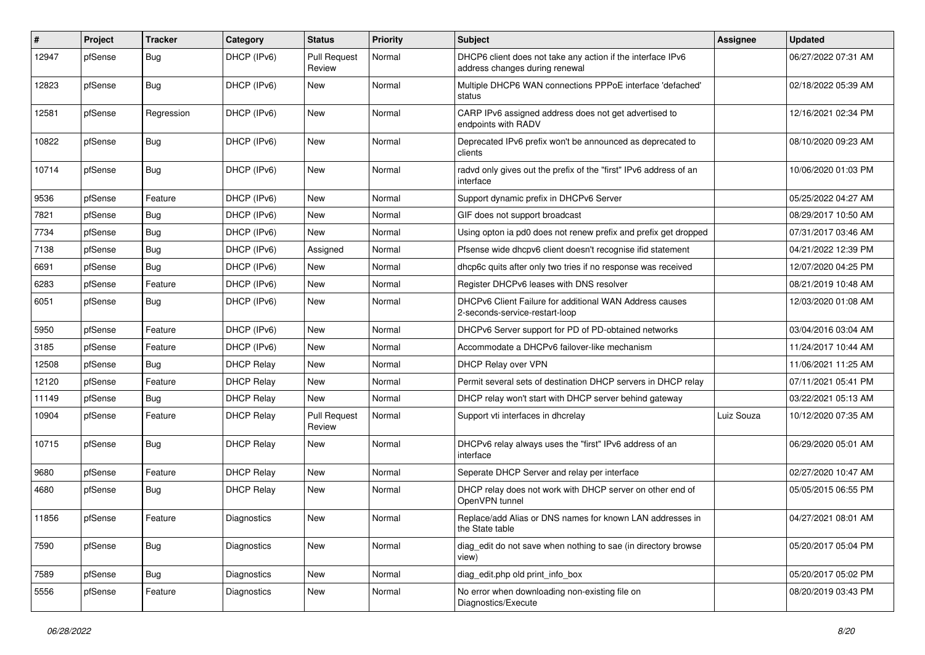| #     | Project | <b>Tracker</b> | Category          | <b>Status</b>                 | <b>Priority</b> | Subject                                                                                       | Assignee   | <b>Updated</b>      |
|-------|---------|----------------|-------------------|-------------------------------|-----------------|-----------------------------------------------------------------------------------------------|------------|---------------------|
| 12947 | pfSense | <b>Bug</b>     | DHCP (IPv6)       | <b>Pull Request</b><br>Review | Normal          | DHCP6 client does not take any action if the interface IPv6<br>address changes during renewal |            | 06/27/2022 07:31 AM |
| 12823 | pfSense | Bug            | DHCP (IPv6)       | New                           | Normal          | Multiple DHCP6 WAN connections PPPoE interface 'defached'<br>status                           |            | 02/18/2022 05:39 AM |
| 12581 | pfSense | Regression     | DHCP (IPv6)       | <b>New</b>                    | Normal          | CARP IPv6 assigned address does not get advertised to<br>endpoints with RADV                  |            | 12/16/2021 02:34 PM |
| 10822 | pfSense | Bug            | DHCP (IPv6)       | New                           | Normal          | Deprecated IPv6 prefix won't be announced as deprecated to<br>clients                         |            | 08/10/2020 09:23 AM |
| 10714 | pfSense | Bug            | DHCP (IPv6)       | New                           | Normal          | radvd only gives out the prefix of the "first" IPv6 address of an<br>interface                |            | 10/06/2020 01:03 PM |
| 9536  | pfSense | Feature        | DHCP (IPv6)       | New                           | Normal          | Support dynamic prefix in DHCPv6 Server                                                       |            | 05/25/2022 04:27 AM |
| 7821  | pfSense | <b>Bug</b>     | DHCP (IPv6)       | New                           | Normal          | GIF does not support broadcast                                                                |            | 08/29/2017 10:50 AM |
| 7734  | pfSense | <b>Bug</b>     | DHCP (IPv6)       | New                           | Normal          | Using opton ia pd0 does not renew prefix and prefix get dropped                               |            | 07/31/2017 03:46 AM |
| 7138  | pfSense | <b>Bug</b>     | DHCP (IPv6)       | Assigned                      | Normal          | Pfsense wide dhcpv6 client doesn't recognise ifid statement                                   |            | 04/21/2022 12:39 PM |
| 6691  | pfSense | <b>Bug</b>     | DHCP (IPv6)       | New                           | Normal          | dhcp6c quits after only two tries if no response was received                                 |            | 12/07/2020 04:25 PM |
| 6283  | pfSense | Feature        | DHCP (IPv6)       | New                           | Normal          | Register DHCPv6 leases with DNS resolver                                                      |            | 08/21/2019 10:48 AM |
| 6051  | pfSense | <b>Bug</b>     | DHCP (IPv6)       | New                           | Normal          | DHCPv6 Client Failure for additional WAN Address causes<br>2-seconds-service-restart-loop     |            | 12/03/2020 01:08 AM |
| 5950  | pfSense | Feature        | DHCP (IPv6)       | <b>New</b>                    | Normal          | DHCPv6 Server support for PD of PD-obtained networks                                          |            | 03/04/2016 03:04 AM |
| 3185  | pfSense | Feature        | DHCP (IPv6)       | New                           | Normal          | Accommodate a DHCPv6 failover-like mechanism                                                  |            | 11/24/2017 10:44 AM |
| 12508 | pfSense | Bug            | <b>DHCP Relay</b> | <b>New</b>                    | Normal          | DHCP Relay over VPN                                                                           |            | 11/06/2021 11:25 AM |
| 12120 | pfSense | Feature        | <b>DHCP Relay</b> | New                           | Normal          | Permit several sets of destination DHCP servers in DHCP relay                                 |            | 07/11/2021 05:41 PM |
| 11149 | pfSense | <b>Bug</b>     | <b>DHCP Relay</b> | New                           | Normal          | DHCP relay won't start with DHCP server behind gateway                                        |            | 03/22/2021 05:13 AM |
| 10904 | pfSense | Feature        | <b>DHCP Relay</b> | <b>Pull Request</b><br>Review | Normal          | Support vti interfaces in dhcrelay                                                            | Luiz Souza | 10/12/2020 07:35 AM |
| 10715 | pfSense | <b>Bug</b>     | <b>DHCP Relay</b> | New                           | Normal          | DHCPv6 relay always uses the "first" IPv6 address of an<br>interface                          |            | 06/29/2020 05:01 AM |
| 9680  | pfSense | Feature        | <b>DHCP Relay</b> | New                           | Normal          | Seperate DHCP Server and relay per interface                                                  |            | 02/27/2020 10:47 AM |
| 4680  | pfSense | <b>Bug</b>     | <b>DHCP Relay</b> | New                           | Normal          | DHCP relay does not work with DHCP server on other end of<br>OpenVPN tunnel                   |            | 05/05/2015 06:55 PM |
| 11856 | pfSense | Feature        | Diagnostics       | New                           | Normal          | Replace/add Alias or DNS names for known LAN addresses in<br>the State table                  |            | 04/27/2021 08:01 AM |
| 7590  | pfSense | <b>Bug</b>     | Diagnostics       | New                           | Normal          | diag_edit do not save when nothing to sae (in directory browse<br>view)                       |            | 05/20/2017 05:04 PM |
| 7589  | pfSense | <b>Bug</b>     | Diagnostics       | New                           | Normal          | diag_edit.php old print_info_box                                                              |            | 05/20/2017 05:02 PM |
| 5556  | pfSense | Feature        | Diagnostics       | New                           | Normal          | No error when downloading non-existing file on<br>Diagnostics/Execute                         |            | 08/20/2019 03:43 PM |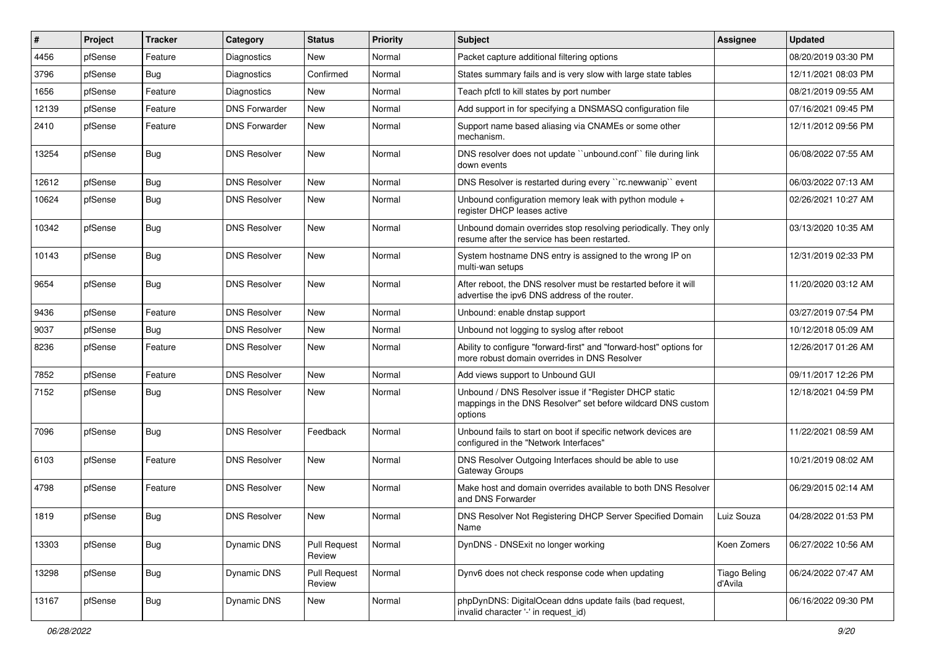| #     | Project | <b>Tracker</b> | Category             | <b>Status</b>                 | <b>Priority</b> | Subject                                                                                                                          | <b>Assignee</b>                | <b>Updated</b>      |
|-------|---------|----------------|----------------------|-------------------------------|-----------------|----------------------------------------------------------------------------------------------------------------------------------|--------------------------------|---------------------|
| 4456  | pfSense | Feature        | Diagnostics          | New                           | Normal          | Packet capture additional filtering options                                                                                      |                                | 08/20/2019 03:30 PM |
| 3796  | pfSense | Bug            | Diagnostics          | Confirmed                     | Normal          | States summary fails and is very slow with large state tables                                                                    |                                | 12/11/2021 08:03 PM |
| 1656  | pfSense | Feature        | Diagnostics          | New                           | Normal          | Teach pfctl to kill states by port number                                                                                        |                                | 08/21/2019 09:55 AM |
| 12139 | pfSense | Feature        | <b>DNS Forwarder</b> | New                           | Normal          | Add support in for specifying a DNSMASQ configuration file                                                                       |                                | 07/16/2021 09:45 PM |
| 2410  | pfSense | Feature        | <b>DNS Forwarder</b> | New                           | Normal          | Support name based aliasing via CNAMEs or some other<br>mechanism.                                                               |                                | 12/11/2012 09:56 PM |
| 13254 | pfSense | <b>Bug</b>     | <b>DNS Resolver</b>  | New                           | Normal          | DNS resolver does not update "unbound.conf" file during link<br>down events                                                      |                                | 06/08/2022 07:55 AM |
| 12612 | pfSense | <b>Bug</b>     | <b>DNS Resolver</b>  | New                           | Normal          | DNS Resolver is restarted during every "rc.newwanip" event                                                                       |                                | 06/03/2022 07:13 AM |
| 10624 | pfSense | <b>Bug</b>     | <b>DNS Resolver</b>  | New                           | Normal          | Unbound configuration memory leak with python module +<br>register DHCP leases active                                            |                                | 02/26/2021 10:27 AM |
| 10342 | pfSense | <b>Bug</b>     | <b>DNS Resolver</b>  | New                           | Normal          | Unbound domain overrides stop resolving periodically. They only<br>resume after the service has been restarted.                  |                                | 03/13/2020 10:35 AM |
| 10143 | pfSense | <b>Bug</b>     | <b>DNS Resolver</b>  | New                           | Normal          | System hostname DNS entry is assigned to the wrong IP on<br>multi-wan setups                                                     |                                | 12/31/2019 02:33 PM |
| 9654  | pfSense | Bug            | <b>DNS Resolver</b>  | New                           | Normal          | After reboot, the DNS resolver must be restarted before it will<br>advertise the ipv6 DNS address of the router.                 |                                | 11/20/2020 03:12 AM |
| 9436  | pfSense | Feature        | <b>DNS Resolver</b>  | New                           | Normal          | Unbound: enable dnstap support                                                                                                   |                                | 03/27/2019 07:54 PM |
| 9037  | pfSense | Bug            | <b>DNS Resolver</b>  | <b>New</b>                    | Normal          | Unbound not logging to syslog after reboot                                                                                       |                                | 10/12/2018 05:09 AM |
| 8236  | pfSense | Feature        | <b>DNS Resolver</b>  | New                           | Normal          | Ability to configure "forward-first" and "forward-host" options for<br>more robust domain overrides in DNS Resolver              |                                | 12/26/2017 01:26 AM |
| 7852  | pfSense | Feature        | <b>DNS Resolver</b>  | New                           | Normal          | Add views support to Unbound GUI                                                                                                 |                                | 09/11/2017 12:26 PM |
| 7152  | pfSense | <b>Bug</b>     | <b>DNS Resolver</b>  | New                           | Normal          | Unbound / DNS Resolver issue if "Register DHCP static<br>mappings in the DNS Resolver" set before wildcard DNS custom<br>options |                                | 12/18/2021 04:59 PM |
| 7096  | pfSense | <b>Bug</b>     | <b>DNS Resolver</b>  | Feedback                      | Normal          | Unbound fails to start on boot if specific network devices are<br>configured in the "Network Interfaces"                         |                                | 11/22/2021 08:59 AM |
| 6103  | pfSense | Feature        | <b>DNS Resolver</b>  | <b>New</b>                    | Normal          | DNS Resolver Outgoing Interfaces should be able to use<br>Gateway Groups                                                         |                                | 10/21/2019 08:02 AM |
| 4798  | pfSense | Feature        | <b>DNS Resolver</b>  | New                           | Normal          | Make host and domain overrides available to both DNS Resolver<br>and DNS Forwarder                                               |                                | 06/29/2015 02:14 AM |
| 1819  | pfSense | <b>Bug</b>     | <b>DNS Resolver</b>  | New                           | Normal          | DNS Resolver Not Registering DHCP Server Specified Domain<br>Name                                                                | Luiz Souza                     | 04/28/2022 01:53 PM |
| 13303 | pfSense | <b>Bug</b>     | Dynamic DNS          | <b>Pull Request</b><br>Review | Normal          | DynDNS - DNSExit no longer working                                                                                               | Koen Zomers                    | 06/27/2022 10:56 AM |
| 13298 | pfSense | <b>Bug</b>     | <b>Dynamic DNS</b>   | <b>Pull Request</b><br>Review | Normal          | Dynv6 does not check response code when updating                                                                                 | <b>Tiago Beling</b><br>d'Avila | 06/24/2022 07:47 AM |
| 13167 | pfSense | Bug            | <b>Dynamic DNS</b>   | New                           | Normal          | phpDynDNS: DigitalOcean ddns update fails (bad request,<br>invalid character '-' in request id)                                  |                                | 06/16/2022 09:30 PM |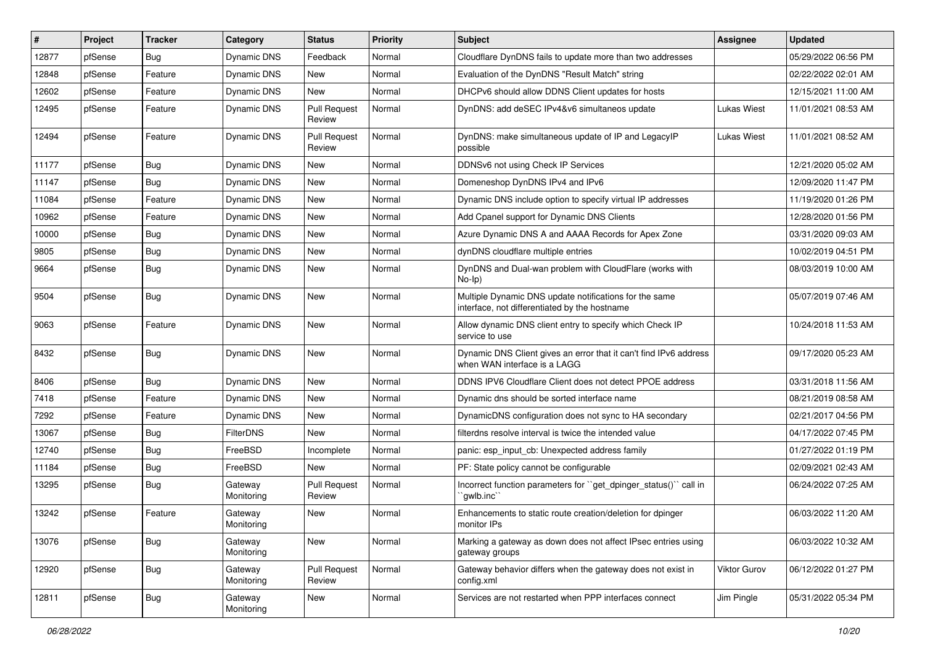| $\sharp$ | Project | <b>Tracker</b> | Category              | <b>Status</b>                 | <b>Priority</b> | Subject                                                                                                 | <b>Assignee</b> | <b>Updated</b>      |
|----------|---------|----------------|-----------------------|-------------------------------|-----------------|---------------------------------------------------------------------------------------------------------|-----------------|---------------------|
| 12877    | pfSense | Bug            | Dynamic DNS           | Feedback                      | Normal          | Cloudflare DynDNS fails to update more than two addresses                                               |                 | 05/29/2022 06:56 PM |
| 12848    | pfSense | Feature        | Dynamic DNS           | New                           | Normal          | Evaluation of the DynDNS "Result Match" string                                                          |                 | 02/22/2022 02:01 AM |
| 12602    | pfSense | Feature        | Dynamic DNS           | New                           | Normal          | DHCPv6 should allow DDNS Client updates for hosts                                                       |                 | 12/15/2021 11:00 AM |
| 12495    | pfSense | Feature        | <b>Dynamic DNS</b>    | <b>Pull Request</b><br>Review | Normal          | DynDNS: add deSEC IPv4&v6 simultaneos update                                                            | Lukas Wiest     | 11/01/2021 08:53 AM |
| 12494    | pfSense | Feature        | Dynamic DNS           | <b>Pull Request</b><br>Review | Normal          | DynDNS: make simultaneous update of IP and LegacyIP<br>possible                                         | Lukas Wiest     | 11/01/2021 08:52 AM |
| 11177    | pfSense | Bug            | Dynamic DNS           | New                           | Normal          | DDNSv6 not using Check IP Services                                                                      |                 | 12/21/2020 05:02 AM |
| 11147    | pfSense | Bug            | Dynamic DNS           | New                           | Normal          | Domeneshop DynDNS IPv4 and IPv6                                                                         |                 | 12/09/2020 11:47 PM |
| 11084    | pfSense | Feature        | Dynamic DNS           | New                           | Normal          | Dynamic DNS include option to specify virtual IP addresses                                              |                 | 11/19/2020 01:26 PM |
| 10962    | pfSense | Feature        | Dynamic DNS           | <b>New</b>                    | Normal          | Add Cpanel support for Dynamic DNS Clients                                                              |                 | 12/28/2020 01:56 PM |
| 10000    | pfSense | Bug            | <b>Dynamic DNS</b>    | New                           | Normal          | Azure Dynamic DNS A and AAAA Records for Apex Zone                                                      |                 | 03/31/2020 09:03 AM |
| 9805     | pfSense | <b>Bug</b>     | Dynamic DNS           | New                           | Normal          | dynDNS cloudflare multiple entries                                                                      |                 | 10/02/2019 04:51 PM |
| 9664     | pfSense | Bug            | Dynamic DNS           | New                           | Normal          | DynDNS and Dual-wan problem with CloudFlare (works with<br>$No-Ip)$                                     |                 | 08/03/2019 10:00 AM |
| 9504     | pfSense | <b>Bug</b>     | Dynamic DNS           | New                           | Normal          | Multiple Dynamic DNS update notifications for the same<br>interface, not differentiated by the hostname |                 | 05/07/2019 07:46 AM |
| 9063     | pfSense | Feature        | Dynamic DNS           | New                           | Normal          | Allow dynamic DNS client entry to specify which Check IP<br>service to use                              |                 | 10/24/2018 11:53 AM |
| 8432     | pfSense | Bug            | <b>Dynamic DNS</b>    | New                           | Normal          | Dynamic DNS Client gives an error that it can't find IPv6 address<br>when WAN interface is a LAGG       |                 | 09/17/2020 05:23 AM |
| 8406     | pfSense | Bug            | Dynamic DNS           | New                           | Normal          | DDNS IPV6 Cloudflare Client does not detect PPOE address                                                |                 | 03/31/2018 11:56 AM |
| 7418     | pfSense | Feature        | <b>Dynamic DNS</b>    | New                           | Normal          | Dynamic dns should be sorted interface name                                                             |                 | 08/21/2019 08:58 AM |
| 7292     | pfSense | Feature        | <b>Dynamic DNS</b>    | New                           | Normal          | DynamicDNS configuration does not sync to HA secondary                                                  |                 | 02/21/2017 04:56 PM |
| 13067    | pfSense | Bug            | <b>FilterDNS</b>      | New                           | Normal          | filterdns resolve interval is twice the intended value                                                  |                 | 04/17/2022 07:45 PM |
| 12740    | pfSense | <b>Bug</b>     | FreeBSD               | Incomplete                    | Normal          | panic: esp input cb: Unexpected address family                                                          |                 | 01/27/2022 01:19 PM |
| 11184    | pfSense | <b>Bug</b>     | FreeBSD               | <b>New</b>                    | Normal          | PF: State policy cannot be configurable                                                                 |                 | 02/09/2021 02:43 AM |
| 13295    | pfSense | Bug            | Gateway<br>Monitoring | <b>Pull Request</b><br>Review | Normal          | Incorrect function parameters for "get_dpinger_status()" call in<br>qwlb.inc                            |                 | 06/24/2022 07:25 AM |
| 13242    | pfSense | Feature        | Gateway<br>Monitoring | New                           | Normal          | Enhancements to static route creation/deletion for dpinger<br>monitor IPs                               |                 | 06/03/2022 11:20 AM |
| 13076    | pfSense | Bug            | Gateway<br>Monitoring | New                           | Normal          | Marking a gateway as down does not affect IPsec entries using<br>gateway groups                         |                 | 06/03/2022 10:32 AM |
| 12920    | pfSense | <b>Bug</b>     | Gateway<br>Monitoring | <b>Pull Request</b><br>Review | Normal          | Gateway behavior differs when the gateway does not exist in<br>config.xml                               | Viktor Gurov    | 06/12/2022 01:27 PM |
| 12811    | pfSense | <b>Bug</b>     | Gateway<br>Monitoring | New                           | Normal          | Services are not restarted when PPP interfaces connect                                                  | Jim Pingle      | 05/31/2022 05:34 PM |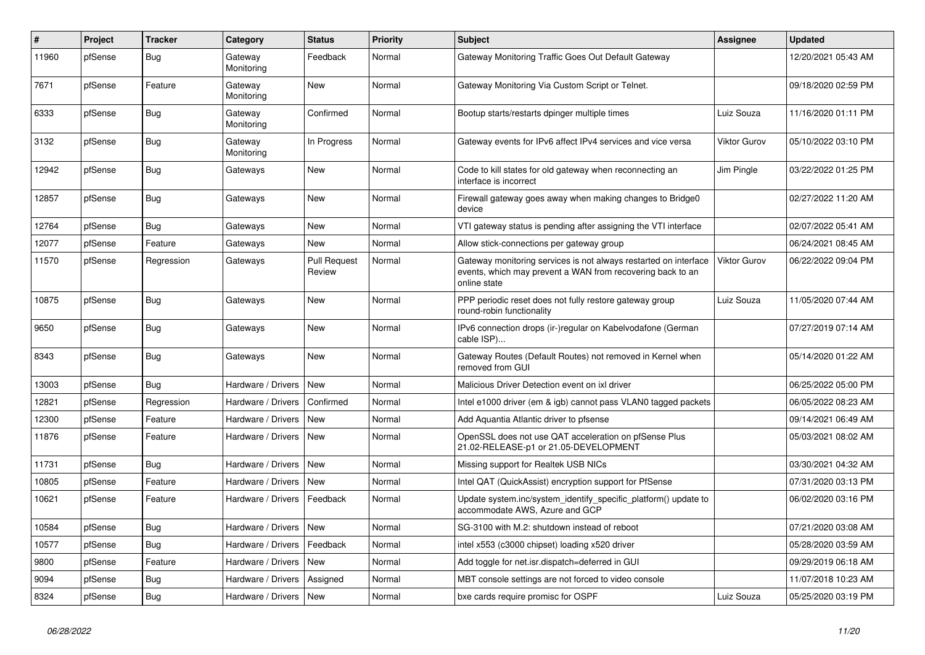| #     | Project | <b>Tracker</b> | Category                 | <b>Status</b>                 | <b>Priority</b> | <b>Subject</b>                                                                                                                                 | Assignee            | <b>Updated</b>      |
|-------|---------|----------------|--------------------------|-------------------------------|-----------------|------------------------------------------------------------------------------------------------------------------------------------------------|---------------------|---------------------|
| 11960 | pfSense | Bug            | Gateway<br>Monitoring    | Feedback                      | Normal          | Gateway Monitoring Traffic Goes Out Default Gateway                                                                                            |                     | 12/20/2021 05:43 AM |
| 7671  | pfSense | Feature        | Gateway<br>Monitoring    | <b>New</b>                    | Normal          | Gateway Monitoring Via Custom Script or Telnet.                                                                                                |                     | 09/18/2020 02:59 PM |
| 6333  | pfSense | <b>Bug</b>     | Gateway<br>Monitoring    | Confirmed                     | Normal          | Bootup starts/restarts dpinger multiple times                                                                                                  | Luiz Souza          | 11/16/2020 01:11 PM |
| 3132  | pfSense | <b>Bug</b>     | Gateway<br>Monitoring    | In Progress                   | Normal          | Gateway events for IPv6 affect IPv4 services and vice versa                                                                                    | <b>Viktor Gurov</b> | 05/10/2022 03:10 PM |
| 12942 | pfSense | <b>Bug</b>     | Gateways                 | New                           | Normal          | Code to kill states for old gateway when reconnecting an<br>interface is incorrect                                                             | Jim Pingle          | 03/22/2022 01:25 PM |
| 12857 | pfSense | Bug            | Gateways                 | New                           | Normal          | Firewall gateway goes away when making changes to Bridge0<br>device                                                                            |                     | 02/27/2022 11:20 AM |
| 12764 | pfSense | <b>Bug</b>     | Gateways                 | <b>New</b>                    | Normal          | VTI gateway status is pending after assigning the VTI interface                                                                                |                     | 02/07/2022 05:41 AM |
| 12077 | pfSense | Feature        | Gateways                 | <b>New</b>                    | Normal          | Allow stick-connections per gateway group                                                                                                      |                     | 06/24/2021 08:45 AM |
| 11570 | pfSense | Regression     | Gateways                 | <b>Pull Request</b><br>Review | Normal          | Gateway monitoring services is not always restarted on interface<br>events, which may prevent a WAN from recovering back to an<br>online state | <b>Viktor Gurov</b> | 06/22/2022 09:04 PM |
| 10875 | pfSense | Bug            | Gateways                 | New                           | Normal          | PPP periodic reset does not fully restore gateway group<br>round-robin functionality                                                           | Luiz Souza          | 11/05/2020 07:44 AM |
| 9650  | pfSense | <b>Bug</b>     | Gateways                 | <b>New</b>                    | Normal          | IPv6 connection drops (ir-)regular on Kabelvodafone (German<br>cable ISP)                                                                      |                     | 07/27/2019 07:14 AM |
| 8343  | pfSense | Bug            | Gateways                 | <b>New</b>                    | Normal          | Gateway Routes (Default Routes) not removed in Kernel when<br>removed from GUI                                                                 |                     | 05/14/2020 01:22 AM |
| 13003 | pfSense | Bug            | Hardware / Drivers       | <b>New</b>                    | Normal          | Malicious Driver Detection event on ixl driver                                                                                                 |                     | 06/25/2022 05:00 PM |
| 12821 | pfSense | Regression     | Hardware / Drivers       | Confirmed                     | Normal          | Intel e1000 driver (em & igb) cannot pass VLAN0 tagged packets                                                                                 |                     | 06/05/2022 08:23 AM |
| 12300 | pfSense | Feature        | Hardware / Drivers       | <b>New</b>                    | Normal          | Add Aquantia Atlantic driver to pfsense                                                                                                        |                     | 09/14/2021 06:49 AM |
| 11876 | pfSense | Feature        | Hardware / Drivers       | New                           | Normal          | OpenSSL does not use QAT acceleration on pfSense Plus<br>21.02-RELEASE-p1 or 21.05-DEVELOPMENT                                                 |                     | 05/03/2021 08:02 AM |
| 11731 | pfSense | <b>Bug</b>     | Hardware / Drivers       | <b>New</b>                    | Normal          | Missing support for Realtek USB NICs                                                                                                           |                     | 03/30/2021 04:32 AM |
| 10805 | pfSense | Feature        | Hardware / Drivers       | <b>New</b>                    | Normal          | Intel QAT (QuickAssist) encryption support for PfSense                                                                                         |                     | 07/31/2020 03:13 PM |
| 10621 | pfSense | Feature        | Hardware / Drivers       | Feedback                      | Normal          | Update system.inc/system identify specific platform() update to<br>accommodate AWS, Azure and GCP                                              |                     | 06/02/2020 03:16 PM |
| 10584 | pfSense | <b>Bug</b>     | Hardware / Drivers       | <b>New</b>                    | Normal          | SG-3100 with M.2: shutdown instead of reboot                                                                                                   |                     | 07/21/2020 03:08 AM |
| 10577 | pfSense | Bug            | Hardware / Drivers       | Feedback                      | Normal          | intel x553 (c3000 chipset) loading x520 driver                                                                                                 |                     | 05/28/2020 03:59 AM |
| 9800  | pfSense | Feature        | Hardware / Drivers       | <b>New</b>                    | Normal          | Add toggle for net.isr.dispatch=deferred in GUI                                                                                                |                     | 09/29/2019 06:18 AM |
| 9094  | pfSense | <b>Bug</b>     | Hardware / Drivers       | Assigned                      | Normal          | MBT console settings are not forced to video console                                                                                           |                     | 11/07/2018 10:23 AM |
| 8324  | pfSense | <b>Bug</b>     | Hardware / Drivers   New |                               | Normal          | bxe cards require promisc for OSPF                                                                                                             | Luiz Souza          | 05/25/2020 03:19 PM |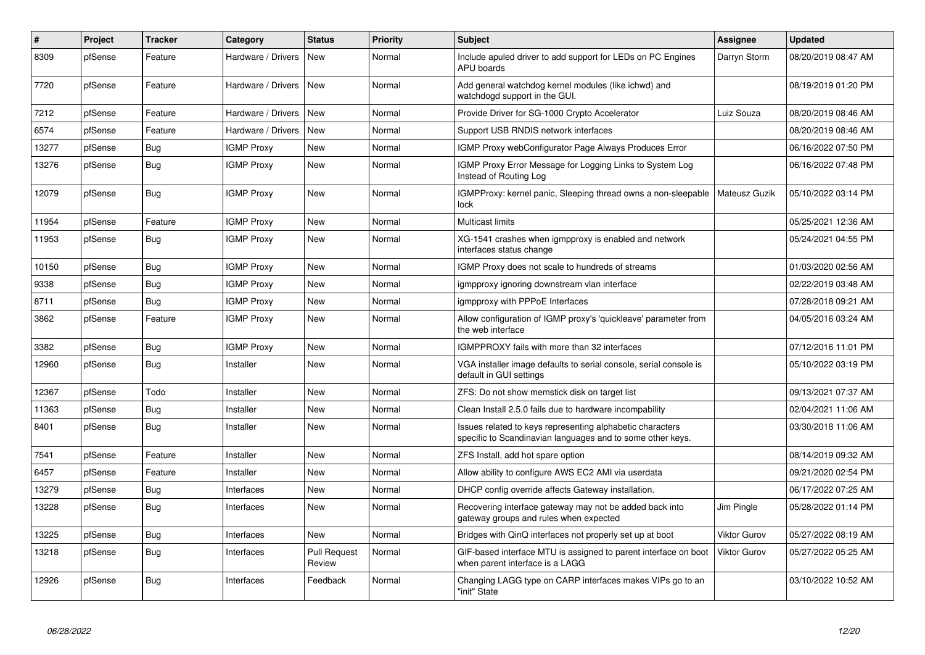| #     | Project | <b>Tracker</b> | Category           | <b>Status</b>                 | <b>Priority</b> | <b>Subject</b>                                                                                                          | Assignee            | <b>Updated</b>      |
|-------|---------|----------------|--------------------|-------------------------------|-----------------|-------------------------------------------------------------------------------------------------------------------------|---------------------|---------------------|
| 8309  | pfSense | Feature        | Hardware / Drivers | <b>New</b>                    | Normal          | Include apuled driver to add support for LEDs on PC Engines<br><b>APU</b> boards                                        | Darryn Storm        | 08/20/2019 08:47 AM |
| 7720  | pfSense | Feature        | Hardware / Drivers | New                           | Normal          | Add general watchdog kernel modules (like ichwd) and<br>watchdogd support in the GUI.                                   |                     | 08/19/2019 01:20 PM |
| 7212  | pfSense | Feature        | Hardware / Drivers | New                           | Normal          | Provide Driver for SG-1000 Crypto Accelerator                                                                           | Luiz Souza          | 08/20/2019 08:46 AM |
| 6574  | pfSense | Feature        | Hardware / Drivers | <b>New</b>                    | Normal          | Support USB RNDIS network interfaces                                                                                    |                     | 08/20/2019 08:46 AM |
| 13277 | pfSense | Bug            | <b>IGMP Proxy</b>  | New                           | Normal          | IGMP Proxy webConfigurator Page Always Produces Error                                                                   |                     | 06/16/2022 07:50 PM |
| 13276 | pfSense | <b>Bug</b>     | <b>IGMP Proxy</b>  | <b>New</b>                    | Normal          | IGMP Proxy Error Message for Logging Links to System Log<br>Instead of Routing Log                                      |                     | 06/16/2022 07:48 PM |
| 12079 | pfSense | <b>Bug</b>     | <b>IGMP Proxy</b>  | <b>New</b>                    | Normal          | IGMPProxy: kernel panic, Sleeping thread owns a non-sleepable<br>lock                                                   | Mateusz Guzik       | 05/10/2022 03:14 PM |
| 11954 | pfSense | Feature        | <b>IGMP Proxy</b>  | New                           | Normal          | Multicast limits                                                                                                        |                     | 05/25/2021 12:36 AM |
| 11953 | pfSense | Bug            | <b>IGMP Proxy</b>  | New                           | Normal          | XG-1541 crashes when igmpproxy is enabled and network<br>interfaces status change                                       |                     | 05/24/2021 04:55 PM |
| 10150 | pfSense | Bug            | <b>IGMP Proxy</b>  | <b>New</b>                    | Normal          | IGMP Proxy does not scale to hundreds of streams                                                                        |                     | 01/03/2020 02:56 AM |
| 9338  | pfSense | <b>Bug</b>     | <b>IGMP Proxy</b>  | <b>New</b>                    | Normal          | igmpproxy ignoring downstream vlan interface                                                                            |                     | 02/22/2019 03:48 AM |
| 8711  | pfSense | Bug            | <b>IGMP Proxy</b>  | <b>New</b>                    | Normal          | igmpproxy with PPPoE Interfaces                                                                                         |                     | 07/28/2018 09:21 AM |
| 3862  | pfSense | Feature        | <b>IGMP Proxy</b>  | New                           | Normal          | Allow configuration of IGMP proxy's 'quickleave' parameter from<br>the web interface                                    |                     | 04/05/2016 03:24 AM |
| 3382  | pfSense | Bug            | <b>IGMP Proxy</b>  | <b>New</b>                    | Normal          | IGMPPROXY fails with more than 32 interfaces                                                                            |                     | 07/12/2016 11:01 PM |
| 12960 | pfSense | Bug            | Installer          | New                           | Normal          | VGA installer image defaults to serial console, serial console is<br>default in GUI settings                            |                     | 05/10/2022 03:19 PM |
| 12367 | pfSense | Todo           | Installer          | <b>New</b>                    | Normal          | ZFS: Do not show memstick disk on target list                                                                           |                     | 09/13/2021 07:37 AM |
| 11363 | pfSense | Bug            | Installer          | New                           | Normal          | Clean Install 2.5.0 fails due to hardware incompability                                                                 |                     | 02/04/2021 11:06 AM |
| 8401  | pfSense | <b>Bug</b>     | Installer          | New                           | Normal          | Issues related to keys representing alphabetic characters<br>specific to Scandinavian languages and to some other keys. |                     | 03/30/2018 11:06 AM |
| 7541  | pfSense | Feature        | Installer          | New                           | Normal          | ZFS Install, add hot spare option                                                                                       |                     | 08/14/2019 09:32 AM |
| 6457  | pfSense | Feature        | Installer          | New                           | Normal          | Allow ability to configure AWS EC2 AMI via userdata                                                                     |                     | 09/21/2020 02:54 PM |
| 13279 | pfSense | <b>Bug</b>     | Interfaces         | <b>New</b>                    | Normal          | DHCP config override affects Gateway installation.                                                                      |                     | 06/17/2022 07:25 AM |
| 13228 | pfSense | Bug            | Interfaces         | New                           | Normal          | Recovering interface gateway may not be added back into<br>gateway groups and rules when expected                       | Jim Pingle          | 05/28/2022 01:14 PM |
| 13225 | pfSense | Bug            | Interfaces         | <b>New</b>                    | Normal          | Bridges with QinQ interfaces not properly set up at boot                                                                | <b>Viktor Gurov</b> | 05/27/2022 08:19 AM |
| 13218 | pfSense | <b>Bug</b>     | Interfaces         | <b>Pull Request</b><br>Review | Normal          | GIF-based interface MTU is assigned to parent interface on boot<br>when parent interface is a LAGG                      | <b>Viktor Gurov</b> | 05/27/2022 05:25 AM |
| 12926 | pfSense | Bug            | Interfaces         | Feedback                      | Normal          | Changing LAGG type on CARP interfaces makes VIPs go to an<br>"init" State                                               |                     | 03/10/2022 10:52 AM |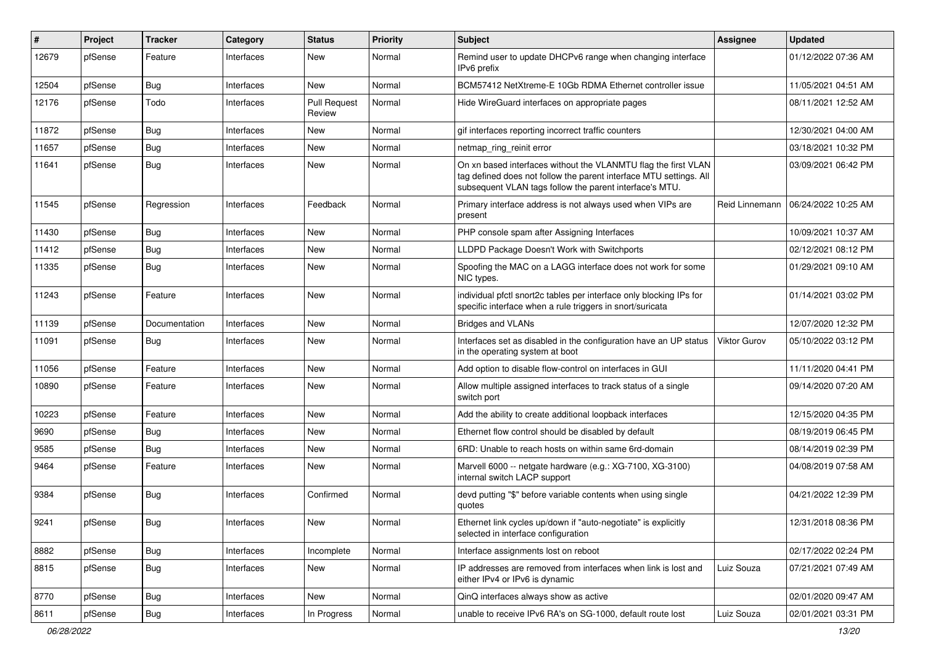| #     | Project | <b>Tracker</b> | Category          | <b>Status</b>                 | <b>Priority</b> | Subject                                                                                                                                                                                         | Assignee            | <b>Updated</b>      |
|-------|---------|----------------|-------------------|-------------------------------|-----------------|-------------------------------------------------------------------------------------------------------------------------------------------------------------------------------------------------|---------------------|---------------------|
| 12679 | pfSense | Feature        | Interfaces        | New                           | Normal          | Remind user to update DHCPv6 range when changing interface<br>IPv6 prefix                                                                                                                       |                     | 01/12/2022 07:36 AM |
| 12504 | pfSense | Bug            | Interfaces        | <b>New</b>                    | Normal          | BCM57412 NetXtreme-E 10Gb RDMA Ethernet controller issue                                                                                                                                        |                     | 11/05/2021 04:51 AM |
| 12176 | pfSense | Todo           | Interfaces        | <b>Pull Request</b><br>Review | Normal          | Hide WireGuard interfaces on appropriate pages                                                                                                                                                  |                     | 08/11/2021 12:52 AM |
| 11872 | pfSense | Bug            | Interfaces        | New                           | Normal          | gif interfaces reporting incorrect traffic counters                                                                                                                                             |                     | 12/30/2021 04:00 AM |
| 11657 | pfSense | <b>Bug</b>     | Interfaces        | New                           | Normal          | netmap_ring_reinit error                                                                                                                                                                        |                     | 03/18/2021 10:32 PM |
| 11641 | pfSense | Bug            | Interfaces        | New                           | Normal          | On xn based interfaces without the VLANMTU flag the first VLAN<br>tag defined does not follow the parent interface MTU settings. All<br>subsequent VLAN tags follow the parent interface's MTU. |                     | 03/09/2021 06:42 PM |
| 11545 | pfSense | Regression     | Interfaces        | Feedback                      | Normal          | Primary interface address is not always used when VIPs are<br>present                                                                                                                           | Reid Linnemann      | 06/24/2022 10:25 AM |
| 11430 | pfSense | <b>Bug</b>     | Interfaces        | <b>New</b>                    | Normal          | PHP console spam after Assigning Interfaces                                                                                                                                                     |                     | 10/09/2021 10:37 AM |
| 11412 | pfSense | Bug            | Interfaces        | New                           | Normal          | LLDPD Package Doesn't Work with Switchports                                                                                                                                                     |                     | 02/12/2021 08:12 PM |
| 11335 | pfSense | <b>Bug</b>     | Interfaces        | New                           | Normal          | Spoofing the MAC on a LAGG interface does not work for some<br>NIC types.                                                                                                                       |                     | 01/29/2021 09:10 AM |
| 11243 | pfSense | Feature        | Interfaces        | <b>New</b>                    | Normal          | individual pfctl snort2c tables per interface only blocking IPs for<br>specific interface when a rule triggers in snort/suricata                                                                |                     | 01/14/2021 03:02 PM |
| 11139 | pfSense | Documentation  | <b>Interfaces</b> | <b>New</b>                    | Normal          | <b>Bridges and VLANs</b>                                                                                                                                                                        |                     | 12/07/2020 12:32 PM |
| 11091 | pfSense | <b>Bug</b>     | Interfaces        | New                           | Normal          | Interfaces set as disabled in the configuration have an UP status<br>in the operating system at boot                                                                                            | <b>Viktor Gurov</b> | 05/10/2022 03:12 PM |
| 11056 | pfSense | Feature        | Interfaces        | New                           | Normal          | Add option to disable flow-control on interfaces in GUI                                                                                                                                         |                     | 11/11/2020 04:41 PM |
| 10890 | pfSense | Feature        | Interfaces        | New                           | Normal          | Allow multiple assigned interfaces to track status of a single<br>switch port                                                                                                                   |                     | 09/14/2020 07:20 AM |
| 10223 | pfSense | Feature        | Interfaces        | New                           | Normal          | Add the ability to create additional loopback interfaces                                                                                                                                        |                     | 12/15/2020 04:35 PM |
| 9690  | pfSense | <b>Bug</b>     | Interfaces        | New                           | Normal          | Ethernet flow control should be disabled by default                                                                                                                                             |                     | 08/19/2019 06:45 PM |
| 9585  | pfSense | <b>Bug</b>     | Interfaces        | New                           | Normal          | 6RD: Unable to reach hosts on within same 6rd-domain                                                                                                                                            |                     | 08/14/2019 02:39 PM |
| 9464  | pfSense | Feature        | Interfaces        | New                           | Normal          | Marvell 6000 -- netgate hardware (e.g.: XG-7100, XG-3100)<br>internal switch LACP support                                                                                                       |                     | 04/08/2019 07:58 AM |
| 9384  | pfSense | Bug            | <b>Interfaces</b> | Confirmed                     | Normal          | devd putting "\$" before variable contents when using single<br>quotes                                                                                                                          |                     | 04/21/2022 12:39 PM |
| 9241  | pfSense | <b>Bug</b>     | Interfaces        | New                           | Normal          | Ethernet link cycles up/down if "auto-negotiate" is explicitly<br>selected in interface configuration                                                                                           |                     | 12/31/2018 08:36 PM |
| 8882  | pfSense | Bug            | Interfaces        | Incomplete                    | Normal          | Interface assignments lost on reboot                                                                                                                                                            |                     | 02/17/2022 02:24 PM |
| 8815  | pfSense | <b>Bug</b>     | Interfaces        | New                           | Normal          | IP addresses are removed from interfaces when link is lost and<br>either IPv4 or IPv6 is dynamic                                                                                                | Luiz Souza          | 07/21/2021 07:49 AM |
| 8770  | pfSense | <b>Bug</b>     | Interfaces        | New                           | Normal          | QinQ interfaces always show as active                                                                                                                                                           |                     | 02/01/2020 09:47 AM |
| 8611  | pfSense | <b>Bug</b>     | Interfaces        | In Progress                   | Normal          | unable to receive IPv6 RA's on SG-1000, default route lost                                                                                                                                      | Luiz Souza          | 02/01/2021 03:31 PM |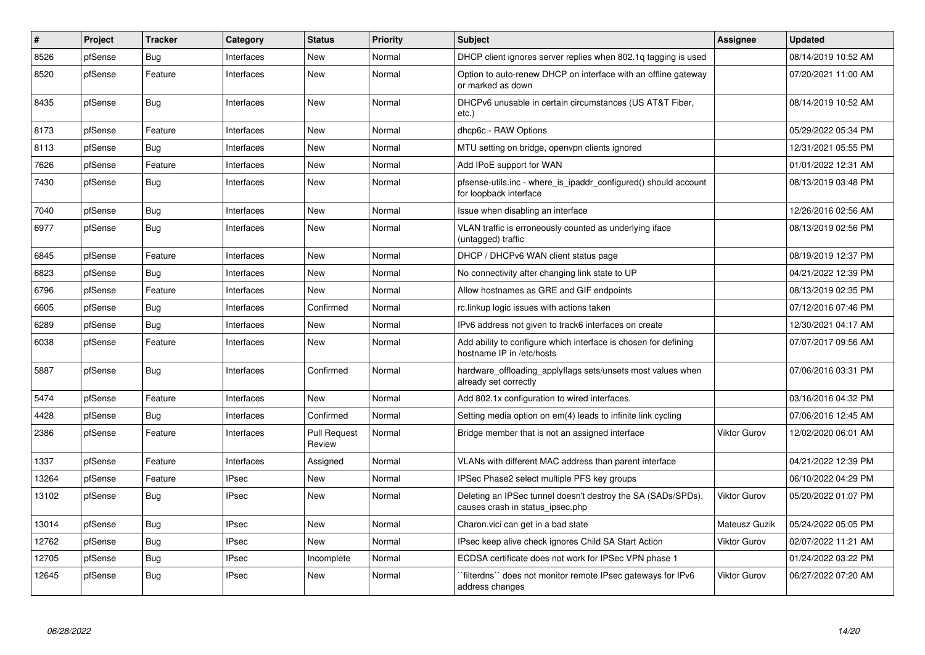| #     | Project | <b>Tracker</b> | Category     | <b>Status</b>                 | <b>Priority</b> | <b>Subject</b>                                                                                   | Assignee            | <b>Updated</b>      |
|-------|---------|----------------|--------------|-------------------------------|-----------------|--------------------------------------------------------------------------------------------------|---------------------|---------------------|
| 8526  | pfSense | <b>Bug</b>     | Interfaces   | <b>New</b>                    | Normal          | DHCP client ignores server replies when 802.1q tagging is used                                   |                     | 08/14/2019 10:52 AM |
| 8520  | pfSense | Feature        | Interfaces   | <b>New</b>                    | Normal          | Option to auto-renew DHCP on interface with an offline gateway<br>or marked as down              |                     | 07/20/2021 11:00 AM |
| 8435  | pfSense | <b>Bug</b>     | Interfaces   | <b>New</b>                    | Normal          | DHCPv6 unusable in certain circumstances (US AT&T Fiber,<br>etc.)                                |                     | 08/14/2019 10:52 AM |
| 8173  | pfSense | Feature        | Interfaces   | <b>New</b>                    | Normal          | dhcp6c - RAW Options                                                                             |                     | 05/29/2022 05:34 PM |
| 8113  | pfSense | <b>Bug</b>     | Interfaces   | <b>New</b>                    | Normal          | MTU setting on bridge, openypn clients ignored                                                   |                     | 12/31/2021 05:55 PM |
| 7626  | pfSense | Feature        | Interfaces   | <b>New</b>                    | Normal          | Add IPoE support for WAN                                                                         |                     | 01/01/2022 12:31 AM |
| 7430  | pfSense | Bug            | Interfaces   | New                           | Normal          | pfsense-utils.inc - where is ipaddr configured () should account<br>for loopback interface       |                     | 08/13/2019 03:48 PM |
| 7040  | pfSense | <b>Bug</b>     | Interfaces   | <b>New</b>                    | Normal          | Issue when disabling an interface                                                                |                     | 12/26/2016 02:56 AM |
| 6977  | pfSense | Bug            | Interfaces   | New                           | Normal          | VLAN traffic is erroneously counted as underlying iface<br>(untagged) traffic                    |                     | 08/13/2019 02:56 PM |
| 6845  | pfSense | Feature        | Interfaces   | New                           | Normal          | DHCP / DHCPv6 WAN client status page                                                             |                     | 08/19/2019 12:37 PM |
| 6823  | pfSense | Bug            | Interfaces   | New                           | Normal          | No connectivity after changing link state to UP                                                  |                     | 04/21/2022 12:39 PM |
| 6796  | pfSense | Feature        | Interfaces   | <b>New</b>                    | Normal          | Allow hostnames as GRE and GIF endpoints                                                         |                     | 08/13/2019 02:35 PM |
| 6605  | pfSense | Bug            | Interfaces   | Confirmed                     | Normal          | rc.linkup logic issues with actions taken                                                        |                     | 07/12/2016 07:46 PM |
| 6289  | pfSense | <b>Bug</b>     | Interfaces   | <b>New</b>                    | Normal          | IPv6 address not given to track6 interfaces on create                                            |                     | 12/30/2021 04:17 AM |
| 6038  | pfSense | Feature        | Interfaces   | <b>New</b>                    | Normal          | Add ability to configure which interface is chosen for defining<br>hostname IP in /etc/hosts     |                     | 07/07/2017 09:56 AM |
| 5887  | pfSense | Bug            | Interfaces   | Confirmed                     | Normal          | hardware offloading applyflags sets/unsets most values when<br>already set correctly             |                     | 07/06/2016 03:31 PM |
| 5474  | pfSense | Feature        | Interfaces   | <b>New</b>                    | Normal          | Add 802.1x configuration to wired interfaces.                                                    |                     | 03/16/2016 04:32 PM |
| 4428  | pfSense | Bug            | Interfaces   | Confirmed                     | Normal          | Setting media option on em(4) leads to infinite link cycling                                     |                     | 07/06/2016 12:45 AM |
| 2386  | pfSense | Feature        | Interfaces   | <b>Pull Request</b><br>Review | Normal          | Bridge member that is not an assigned interface                                                  | <b>Viktor Gurov</b> | 12/02/2020 06:01 AM |
| 1337  | pfSense | Feature        | Interfaces   | Assigned                      | Normal          | VLANs with different MAC address than parent interface                                           |                     | 04/21/2022 12:39 PM |
| 13264 | pfSense | Feature        | <b>IPsec</b> | <b>New</b>                    | Normal          | IPSec Phase2 select multiple PFS key groups                                                      |                     | 06/10/2022 04:29 PM |
| 13102 | pfSense | Bug            | <b>IPsec</b> | New                           | Normal          | Deleting an IPSec tunnel doesn't destroy the SA (SADs/SPDs),<br>causes crash in status ipsec.php | <b>Viktor Gurov</b> | 05/20/2022 01:07 PM |
| 13014 | pfSense | <b>Bug</b>     | <b>IPsec</b> | <b>New</b>                    | Normal          | Charon.vici can get in a bad state                                                               | Mateusz Guzik       | 05/24/2022 05:05 PM |
| 12762 | pfSense | Bug            | <b>IPsec</b> | <b>New</b>                    | Normal          | IPsec keep alive check ignores Child SA Start Action                                             | <b>Viktor Gurov</b> | 02/07/2022 11:21 AM |
| 12705 | pfSense | Bug            | <b>IPsec</b> | Incomplete                    | Normal          | ECDSA certificate does not work for IPSec VPN phase 1                                            |                     | 01/24/2022 03:22 PM |
| 12645 | pfSense | <b>Bug</b>     | <b>IPsec</b> | <b>New</b>                    | Normal          | filterdns" does not monitor remote IPsec gateways for IPv6<br>address changes                    | <b>Viktor Gurov</b> | 06/27/2022 07:20 AM |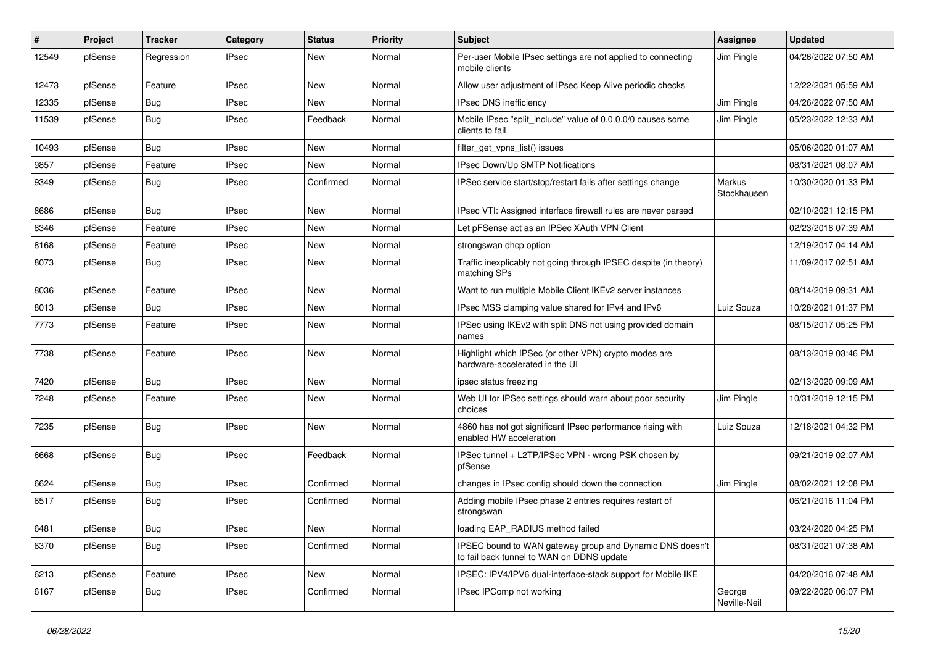| $\#$  | Project | Tracker    | Category     | <b>Status</b> | Priority | Subject                                                                                               | Assignee               | <b>Updated</b>      |
|-------|---------|------------|--------------|---------------|----------|-------------------------------------------------------------------------------------------------------|------------------------|---------------------|
| 12549 | pfSense | Regression | <b>IPsec</b> | New           | Normal   | Per-user Mobile IPsec settings are not applied to connecting<br>mobile clients                        | Jim Pingle             | 04/26/2022 07:50 AM |
| 12473 | pfSense | Feature    | <b>IPsec</b> | New           | Normal   | Allow user adjustment of IPsec Keep Alive periodic checks                                             |                        | 12/22/2021 05:59 AM |
| 12335 | pfSense | <b>Bug</b> | IPsec        | New           | Normal   | <b>IPsec DNS inefficiency</b>                                                                         | Jim Pingle             | 04/26/2022 07:50 AM |
| 11539 | pfSense | <b>Bug</b> | IPsec        | Feedback      | Normal   | Mobile IPsec "split_include" value of 0.0.0.0/0 causes some<br>clients to fail                        | Jim Pingle             | 05/23/2022 12:33 AM |
| 10493 | pfSense | <b>Bug</b> | IPsec        | New           | Normal   | filter_get_vpns_list() issues                                                                         |                        | 05/06/2020 01:07 AM |
| 9857  | pfSense | Feature    | <b>IPsec</b> | New           | Normal   | IPsec Down/Up SMTP Notifications                                                                      |                        | 08/31/2021 08:07 AM |
| 9349  | pfSense | Bug        | IPsec        | Confirmed     | Normal   | IPSec service start/stop/restart fails after settings change                                          | Markus<br>Stockhausen  | 10/30/2020 01:33 PM |
| 8686  | pfSense | Bug        | <b>IPsec</b> | New           | Normal   | IPsec VTI: Assigned interface firewall rules are never parsed                                         |                        | 02/10/2021 12:15 PM |
| 8346  | pfSense | Feature    | <b>IPsec</b> | New           | Normal   | Let pFSense act as an IPSec XAuth VPN Client                                                          |                        | 02/23/2018 07:39 AM |
| 8168  | pfSense | Feature    | IPsec        | New           | Normal   | strongswan dhcp option                                                                                |                        | 12/19/2017 04:14 AM |
| 8073  | pfSense | <b>Bug</b> | IPsec        | New           | Normal   | Traffic inexplicably not going through IPSEC despite (in theory)<br>matching SPs                      |                        | 11/09/2017 02:51 AM |
| 8036  | pfSense | Feature    | <b>IPsec</b> | New           | Normal   | Want to run multiple Mobile Client IKEv2 server instances                                             |                        | 08/14/2019 09:31 AM |
| 8013  | pfSense | <b>Bug</b> | IPsec        | New           | Normal   | IPsec MSS clamping value shared for IPv4 and IPv6                                                     | Luiz Souza             | 10/28/2021 01:37 PM |
| 7773  | pfSense | Feature    | <b>IPsec</b> | New           | Normal   | IPSec using IKEv2 with split DNS not using provided domain<br>names                                   |                        | 08/15/2017 05:25 PM |
| 7738  | pfSense | Feature    | <b>IPsec</b> | New           | Normal   | Highlight which IPSec (or other VPN) crypto modes are<br>hardware-accelerated in the UI               |                        | 08/13/2019 03:46 PM |
| 7420  | pfSense | <b>Bug</b> | IPsec        | New           | Normal   | ipsec status freezing                                                                                 |                        | 02/13/2020 09:09 AM |
| 7248  | pfSense | Feature    | <b>IPsec</b> | New           | Normal   | Web UI for IPSec settings should warn about poor security<br>choices                                  | Jim Pingle             | 10/31/2019 12:15 PM |
| 7235  | pfSense | <b>Bug</b> | <b>IPsec</b> | New           | Normal   | 4860 has not got significant IPsec performance rising with<br>enabled HW acceleration                 | Luiz Souza             | 12/18/2021 04:32 PM |
| 6668  | pfSense | Bug        | <b>IPsec</b> | Feedback      | Normal   | IPSec tunnel + L2TP/IPSec VPN - wrong PSK chosen by<br>pfSense                                        |                        | 09/21/2019 02:07 AM |
| 6624  | pfSense | <b>Bug</b> | <b>IPsec</b> | Confirmed     | Normal   | changes in IPsec config should down the connection                                                    | Jim Pingle             | 08/02/2021 12:08 PM |
| 6517  | pfSense | <b>Bug</b> | IPsec        | Confirmed     | Normal   | Adding mobile IPsec phase 2 entries requires restart of<br>strongswan                                 |                        | 06/21/2016 11:04 PM |
| 6481  | pfSense | Bug        | <b>IPsec</b> | New           | Normal   | loading EAP_RADIUS method failed                                                                      |                        | 03/24/2020 04:25 PM |
| 6370  | pfSense | Bug        | <b>IPsec</b> | Confirmed     | Normal   | IPSEC bound to WAN gateway group and Dynamic DNS doesn't<br>to fail back tunnel to WAN on DDNS update |                        | 08/31/2021 07:38 AM |
| 6213  | pfSense | Feature    | IPsec        | New           | Normal   | IPSEC: IPV4/IPV6 dual-interface-stack support for Mobile IKE                                          |                        | 04/20/2016 07:48 AM |
| 6167  | pfSense | <b>Bug</b> | <b>IPsec</b> | Confirmed     | Normal   | IPsec IPComp not working                                                                              | George<br>Neville-Neil | 09/22/2020 06:07 PM |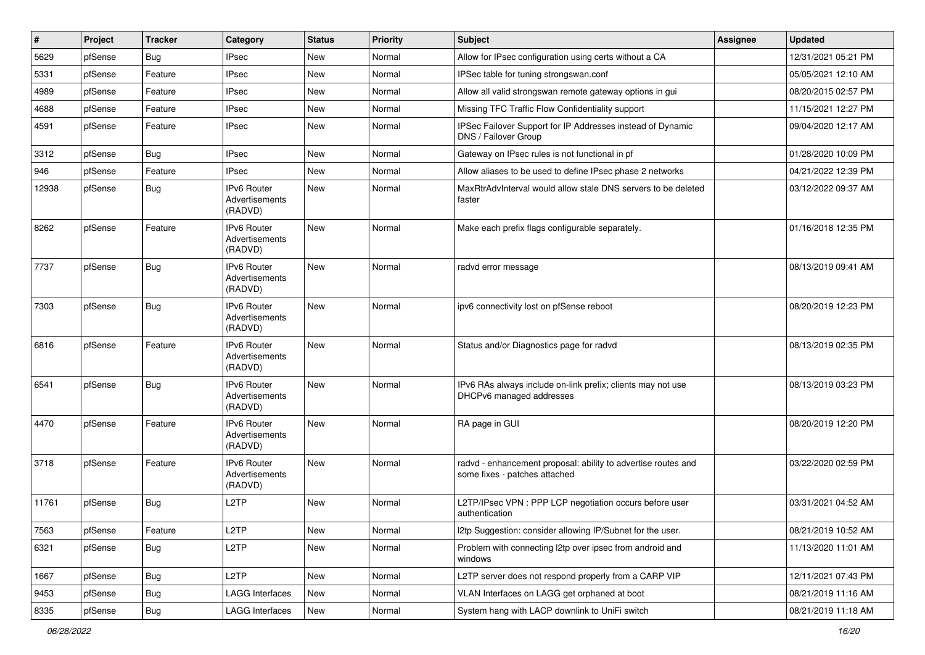| #     | Project | <b>Tracker</b> | Category                                        | <b>Status</b> | <b>Priority</b> | Subject                                                                                        | <b>Assignee</b> | <b>Updated</b>      |
|-------|---------|----------------|-------------------------------------------------|---------------|-----------------|------------------------------------------------------------------------------------------------|-----------------|---------------------|
| 5629  | pfSense | <b>Bug</b>     | <b>IPsec</b>                                    | New           | Normal          | Allow for IPsec configuration using certs without a CA                                         |                 | 12/31/2021 05:21 PM |
| 5331  | pfSense | Feature        | <b>IPsec</b>                                    | New           | Normal          | IPSec table for tuning strongswan.conf                                                         |                 | 05/05/2021 12:10 AM |
| 4989  | pfSense | Feature        | <b>IPsec</b>                                    | New           | Normal          | Allow all valid strongswan remote gateway options in gui                                       |                 | 08/20/2015 02:57 PM |
| 4688  | pfSense | Feature        | <b>IPsec</b>                                    | New           | Normal          | Missing TFC Traffic Flow Confidentiality support                                               |                 | 11/15/2021 12:27 PM |
| 4591  | pfSense | Feature        | <b>IPsec</b>                                    | New           | Normal          | IPSec Failover Support for IP Addresses instead of Dynamic<br>DNS / Failover Group             |                 | 09/04/2020 12:17 AM |
| 3312  | pfSense | <b>Bug</b>     | <b>IPsec</b>                                    | New           | Normal          | Gateway on IPsec rules is not functional in pf                                                 |                 | 01/28/2020 10:09 PM |
| 946   | pfSense | Feature        | <b>IPsec</b>                                    | New           | Normal          | Allow aliases to be used to define IPsec phase 2 networks                                      |                 | 04/21/2022 12:39 PM |
| 12938 | pfSense | <b>Bug</b>     | <b>IPv6 Router</b><br>Advertisements<br>(RADVD) | New           | Normal          | MaxRtrAdvInterval would allow stale DNS servers to be deleted<br>faster                        |                 | 03/12/2022 09:37 AM |
| 8262  | pfSense | Feature        | <b>IPv6 Router</b><br>Advertisements<br>(RADVD) | New           | Normal          | Make each prefix flags configurable separately.                                                |                 | 01/16/2018 12:35 PM |
| 7737  | pfSense | <b>Bug</b>     | <b>IPv6 Router</b><br>Advertisements<br>(RADVD) | New           | Normal          | radvd error message                                                                            |                 | 08/13/2019 09:41 AM |
| 7303  | pfSense | <b>Bug</b>     | <b>IPv6 Router</b><br>Advertisements<br>(RADVD) | <b>New</b>    | Normal          | ipv6 connectivity lost on pfSense reboot                                                       |                 | 08/20/2019 12:23 PM |
| 6816  | pfSense | Feature        | <b>IPv6 Router</b><br>Advertisements<br>(RADVD) | <b>New</b>    | Normal          | Status and/or Diagnostics page for radvd                                                       |                 | 08/13/2019 02:35 PM |
| 6541  | pfSense | <b>Bug</b>     | IPv6 Router<br>Advertisements<br>(RADVD)        | New           | Normal          | IPv6 RAs always include on-link prefix; clients may not use<br>DHCPv6 managed addresses        |                 | 08/13/2019 03:23 PM |
| 4470  | pfSense | Feature        | <b>IPv6 Router</b><br>Advertisements<br>(RADVD) | New           | Normal          | RA page in GUI                                                                                 |                 | 08/20/2019 12:20 PM |
| 3718  | pfSense | Feature        | <b>IPv6 Router</b><br>Advertisements<br>(RADVD) | New           | Normal          | radvd - enhancement proposal: ability to advertise routes and<br>some fixes - patches attached |                 | 03/22/2020 02:59 PM |
| 11761 | pfSense | Bug            | L2TP                                            | <b>New</b>    | Normal          | L2TP/IPsec VPN : PPP LCP negotiation occurs before user<br>authentication                      |                 | 03/31/2021 04:52 AM |
| 7563  | pfSense | Feature        | L <sub>2</sub> TP                               | New           | Normal          | I2tp Suggestion: consider allowing IP/Subnet for the user.                                     |                 | 08/21/2019 10:52 AM |
| 6321  | pfSense | <b>Bug</b>     | L <sub>2</sub> TP                               | New           | Normal          | Problem with connecting l2tp over ipsec from android and<br>windows                            |                 | 11/13/2020 11:01 AM |
| 1667  | pfSense | Bug            | L <sub>2</sub> TP                               | New           | Normal          | L2TP server does not respond properly from a CARP VIP                                          |                 | 12/11/2021 07:43 PM |
| 9453  | pfSense | <b>Bug</b>     | <b>LAGG Interfaces</b>                          | New           | Normal          | VLAN Interfaces on LAGG get orphaned at boot                                                   |                 | 08/21/2019 11:16 AM |
| 8335  | pfSense | Bug            | <b>LAGG Interfaces</b>                          | New           | Normal          | System hang with LACP downlink to UniFi switch                                                 |                 | 08/21/2019 11:18 AM |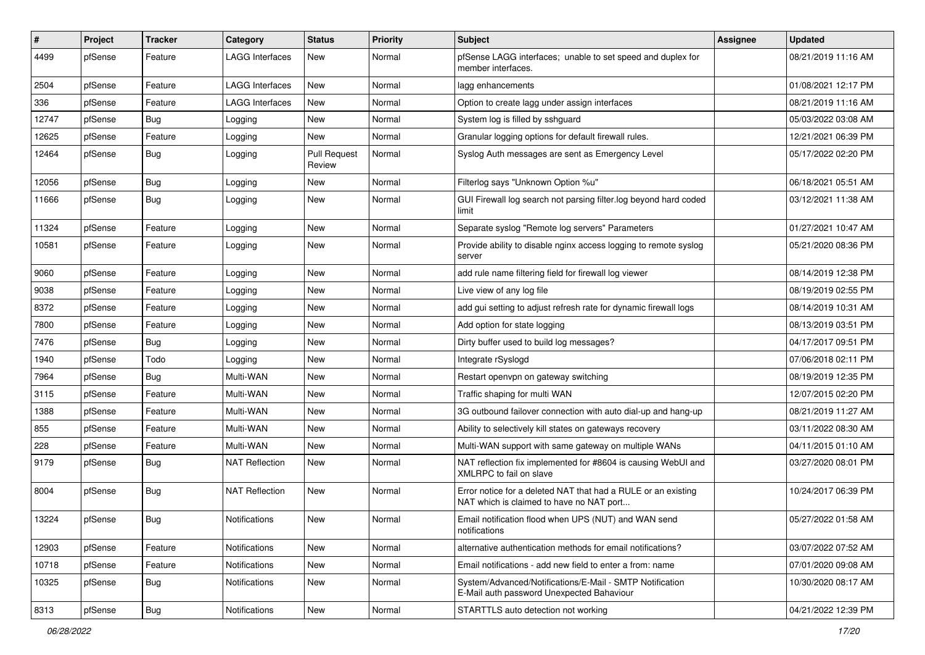| #     | Project | <b>Tracker</b> | Category               | <b>Status</b>                 | <b>Priority</b> | <b>Subject</b>                                                                                            | Assignee | <b>Updated</b>      |
|-------|---------|----------------|------------------------|-------------------------------|-----------------|-----------------------------------------------------------------------------------------------------------|----------|---------------------|
| 4499  | pfSense | Feature        | <b>LAGG Interfaces</b> | New                           | Normal          | pfSense LAGG interfaces; unable to set speed and duplex for<br>member interfaces.                         |          | 08/21/2019 11:16 AM |
| 2504  | pfSense | Feature        | <b>LAGG Interfaces</b> | New                           | Normal          | lagg enhancements                                                                                         |          | 01/08/2021 12:17 PM |
| 336   | pfSense | Feature        | LAGG Interfaces        | New                           | Normal          | Option to create lagg under assign interfaces                                                             |          | 08/21/2019 11:16 AM |
| 12747 | pfSense | Bug            | Logging                | New                           | Normal          | System log is filled by sshguard                                                                          |          | 05/03/2022 03:08 AM |
| 12625 | pfSense | Feature        | Logging                | New                           | Normal          | Granular logging options for default firewall rules.                                                      |          | 12/21/2021 06:39 PM |
| 12464 | pfSense | Bug            | Logging                | <b>Pull Request</b><br>Review | Normal          | Syslog Auth messages are sent as Emergency Level                                                          |          | 05/17/2022 02:20 PM |
| 12056 | pfSense | <b>Bug</b>     | Logging                | New                           | Normal          | Filterlog says "Unknown Option %u"                                                                        |          | 06/18/2021 05:51 AM |
| 11666 | pfSense | Bug            | Logging                | New                           | Normal          | GUI Firewall log search not parsing filter.log beyond hard coded<br>limit                                 |          | 03/12/2021 11:38 AM |
| 11324 | pfSense | Feature        | Logging                | New                           | Normal          | Separate syslog "Remote log servers" Parameters                                                           |          | 01/27/2021 10:47 AM |
| 10581 | pfSense | Feature        | Logging                | New                           | Normal          | Provide ability to disable nginx access logging to remote syslog<br>server                                |          | 05/21/2020 08:36 PM |
| 9060  | pfSense | Feature        | Logging                | New                           | Normal          | add rule name filtering field for firewall log viewer                                                     |          | 08/14/2019 12:38 PM |
| 9038  | pfSense | Feature        | Logging                | New                           | Normal          | Live view of any log file                                                                                 |          | 08/19/2019 02:55 PM |
| 8372  | pfSense | Feature        | Logging                | New                           | Normal          | add gui setting to adjust refresh rate for dynamic firewall logs                                          |          | 08/14/2019 10:31 AM |
| 7800  | pfSense | Feature        | Logging                | New                           | Normal          | Add option for state logging                                                                              |          | 08/13/2019 03:51 PM |
| 7476  | pfSense | Bug            | Logging                | New                           | Normal          | Dirty buffer used to build log messages?                                                                  |          | 04/17/2017 09:51 PM |
| 1940  | pfSense | Todo           | Logging                | New                           | Normal          | Integrate rSyslogd                                                                                        |          | 07/06/2018 02:11 PM |
| 7964  | pfSense | <b>Bug</b>     | Multi-WAN              | New                           | Normal          | Restart openypn on gateway switching                                                                      |          | 08/19/2019 12:35 PM |
| 3115  | pfSense | Feature        | Multi-WAN              | New                           | Normal          | Traffic shaping for multi WAN                                                                             |          | 12/07/2015 02:20 PM |
| 1388  | pfSense | Feature        | Multi-WAN              | New                           | Normal          | 3G outbound failover connection with auto dial-up and hang-up                                             |          | 08/21/2019 11:27 AM |
| 855   | pfSense | Feature        | Multi-WAN              | New                           | Normal          | Ability to selectively kill states on gateways recovery                                                   |          | 03/11/2022 08:30 AM |
| 228   | pfSense | Feature        | Multi-WAN              | New                           | Normal          | Multi-WAN support with same gateway on multiple WANs                                                      |          | 04/11/2015 01:10 AM |
| 9179  | pfSense | <b>Bug</b>     | <b>NAT Reflection</b>  | New                           | Normal          | NAT reflection fix implemented for #8604 is causing WebUI and<br>XMLRPC to fail on slave                  |          | 03/27/2020 08:01 PM |
| 8004  | pfSense | <b>Bug</b>     | <b>NAT Reflection</b>  | New                           | Normal          | Error notice for a deleted NAT that had a RULE or an existing<br>NAT which is claimed to have no NAT port |          | 10/24/2017 06:39 PM |
| 13224 | pfSense | Bug            | Notifications          | New                           | Normal          | Email notification flood when UPS (NUT) and WAN send<br>notifications                                     |          | 05/27/2022 01:58 AM |
| 12903 | pfSense | Feature        | Notifications          | New                           | Normal          | alternative authentication methods for email notifications?                                               |          | 03/07/2022 07:52 AM |
| 10718 | pfSense | Feature        | Notifications          | New                           | Normal          | Email notifications - add new field to enter a from: name                                                 |          | 07/01/2020 09:08 AM |
| 10325 | pfSense | Bug            | <b>Notifications</b>   | New                           | Normal          | System/Advanced/Notifications/E-Mail - SMTP Notification<br>E-Mail auth password Unexpected Bahaviour     |          | 10/30/2020 08:17 AM |
| 8313  | pfSense | <b>Bug</b>     | Notifications          | New                           | Normal          | STARTTLS auto detection not working                                                                       |          | 04/21/2022 12:39 PM |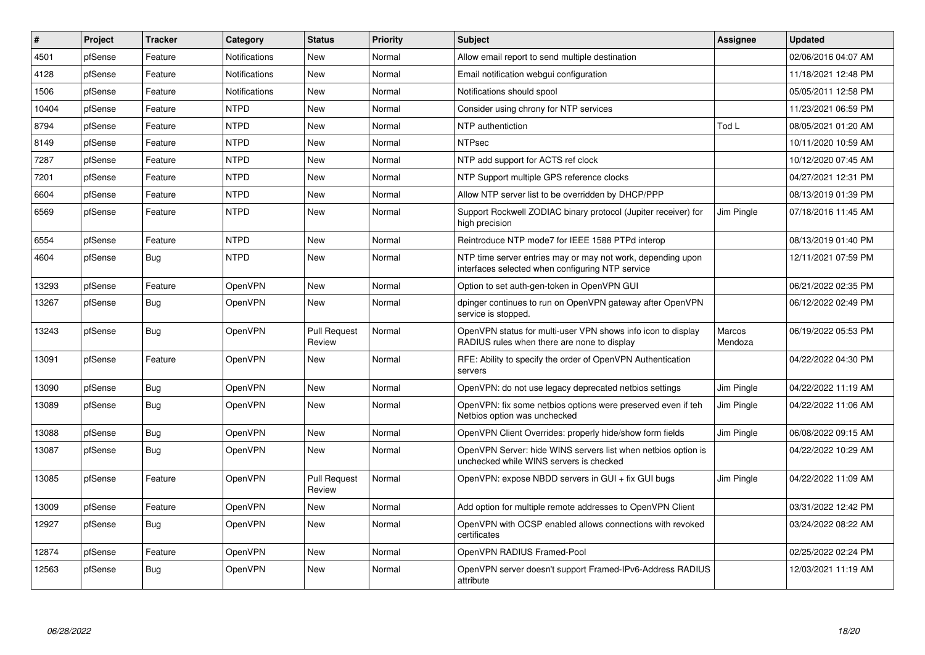| #     | Project | <b>Tracker</b> | Category             | <b>Status</b>                 | <b>Priority</b> | <b>Subject</b>                                                                                                  | Assignee          | <b>Updated</b>      |
|-------|---------|----------------|----------------------|-------------------------------|-----------------|-----------------------------------------------------------------------------------------------------------------|-------------------|---------------------|
| 4501  | pfSense | Feature        | Notifications        | <b>New</b>                    | Normal          | Allow email report to send multiple destination                                                                 |                   | 02/06/2016 04:07 AM |
| 4128  | pfSense | Feature        | <b>Notifications</b> | <b>New</b>                    | Normal          | Email notification webqui configuration                                                                         |                   | 11/18/2021 12:48 PM |
| 1506  | pfSense | Feature        | <b>Notifications</b> | <b>New</b>                    | Normal          | Notifications should spool                                                                                      |                   | 05/05/2011 12:58 PM |
| 10404 | pfSense | Feature        | <b>NTPD</b>          | New                           | Normal          | Consider using chrony for NTP services                                                                          |                   | 11/23/2021 06:59 PM |
| 8794  | pfSense | Feature        | <b>NTPD</b>          | <b>New</b>                    | Normal          | NTP authentiction                                                                                               | Tod L             | 08/05/2021 01:20 AM |
| 8149  | pfSense | Feature        | <b>NTPD</b>          | <b>New</b>                    | Normal          | <b>NTPsec</b>                                                                                                   |                   | 10/11/2020 10:59 AM |
| 7287  | pfSense | Feature        | <b>NTPD</b>          | New                           | Normal          | NTP add support for ACTS ref clock                                                                              |                   | 10/12/2020 07:45 AM |
| 7201  | pfSense | Feature        | <b>NTPD</b>          | New                           | Normal          | NTP Support multiple GPS reference clocks                                                                       |                   | 04/27/2021 12:31 PM |
| 6604  | pfSense | Feature        | <b>NTPD</b>          | New                           | Normal          | Allow NTP server list to be overridden by DHCP/PPP                                                              |                   | 08/13/2019 01:39 PM |
| 6569  | pfSense | Feature        | <b>NTPD</b>          | New                           | Normal          | Support Rockwell ZODIAC binary protocol (Jupiter receiver) for<br>high precision                                | Jim Pingle        | 07/18/2016 11:45 AM |
| 6554  | pfSense | Feature        | <b>NTPD</b>          | <b>New</b>                    | Normal          | Reintroduce NTP mode7 for IEEE 1588 PTPd interop                                                                |                   | 08/13/2019 01:40 PM |
| 4604  | pfSense | Bug            | <b>NTPD</b>          | New                           | Normal          | NTP time server entries may or may not work, depending upon<br>interfaces selected when configuring NTP service |                   | 12/11/2021 07:59 PM |
| 13293 | pfSense | Feature        | OpenVPN              | New                           | Normal          | Option to set auth-gen-token in OpenVPN GUI                                                                     |                   | 06/21/2022 02:35 PM |
| 13267 | pfSense | Bug            | OpenVPN              | New                           | Normal          | dpinger continues to run on OpenVPN gateway after OpenVPN<br>service is stopped.                                |                   | 06/12/2022 02:49 PM |
| 13243 | pfSense | Bug            | OpenVPN              | <b>Pull Request</b><br>Review | Normal          | OpenVPN status for multi-user VPN shows info icon to display<br>RADIUS rules when there are none to display     | Marcos<br>Mendoza | 06/19/2022 05:53 PM |
| 13091 | pfSense | Feature        | OpenVPN              | <b>New</b>                    | Normal          | RFE: Ability to specify the order of OpenVPN Authentication<br>servers                                          |                   | 04/22/2022 04:30 PM |
| 13090 | pfSense | <b>Bug</b>     | OpenVPN              | New                           | Normal          | OpenVPN: do not use legacy deprecated netbios settings                                                          | Jim Pingle        | 04/22/2022 11:19 AM |
| 13089 | pfSense | Bug            | OpenVPN              | New                           | Normal          | OpenVPN: fix some netbios options were preserved even if teh<br>Netbios option was unchecked                    | Jim Pingle        | 04/22/2022 11:06 AM |
| 13088 | pfSense | Bug            | OpenVPN              | <b>New</b>                    | Normal          | OpenVPN Client Overrides: properly hide/show form fields                                                        | Jim Pingle        | 06/08/2022 09:15 AM |
| 13087 | pfSense | Bug            | OpenVPN              | <b>New</b>                    | Normal          | OpenVPN Server: hide WINS servers list when netbios option is<br>unchecked while WINS servers is checked        |                   | 04/22/2022 10:29 AM |
| 13085 | pfSense | Feature        | OpenVPN              | <b>Pull Request</b><br>Review | Normal          | OpenVPN: expose NBDD servers in GUI + fix GUI bugs                                                              | Jim Pingle        | 04/22/2022 11:09 AM |
| 13009 | pfSense | Feature        | OpenVPN              | <b>New</b>                    | Normal          | Add option for multiple remote addresses to OpenVPN Client                                                      |                   | 03/31/2022 12:42 PM |
| 12927 | pfSense | Bug            | OpenVPN              | New                           | Normal          | OpenVPN with OCSP enabled allows connections with revoked<br>certificates                                       |                   | 03/24/2022 08:22 AM |
| 12874 | pfSense | Feature        | OpenVPN              | <b>New</b>                    | Normal          | OpenVPN RADIUS Framed-Pool                                                                                      |                   | 02/25/2022 02:24 PM |
| 12563 | pfSense | Bug            | OpenVPN              | New                           | Normal          | OpenVPN server doesn't support Framed-IPv6-Address RADIUS<br>attribute                                          |                   | 12/03/2021 11:19 AM |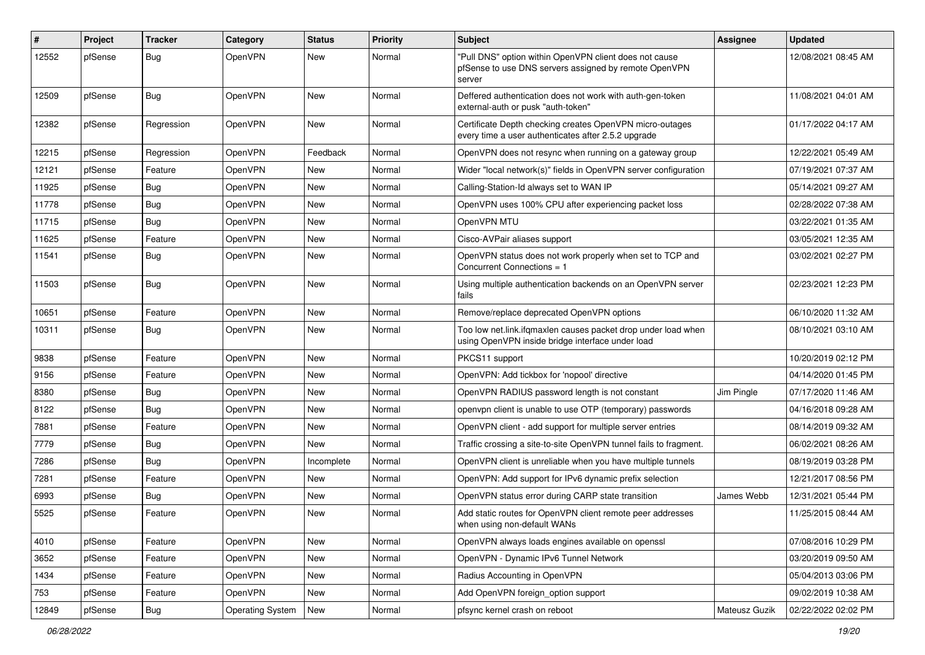| #     | Project | <b>Tracker</b> | Category                | <b>Status</b> | Priority | <b>Subject</b>                                                                                                            | Assignee      | <b>Updated</b>      |
|-------|---------|----------------|-------------------------|---------------|----------|---------------------------------------------------------------------------------------------------------------------------|---------------|---------------------|
| 12552 | pfSense | <b>Bug</b>     | OpenVPN                 | New           | Normal   | "Pull DNS" option within OpenVPN client does not cause<br>pfSense to use DNS servers assigned by remote OpenVPN<br>server |               | 12/08/2021 08:45 AM |
| 12509 | pfSense | Bug            | OpenVPN                 | New           | Normal   | Deffered authentication does not work with auth-gen-token<br>external-auth or pusk "auth-token"                           |               | 11/08/2021 04:01 AM |
| 12382 | pfSense | Regression     | OpenVPN                 | New           | Normal   | Certificate Depth checking creates OpenVPN micro-outages<br>every time a user authenticates after 2.5.2 upgrade           |               | 01/17/2022 04:17 AM |
| 12215 | pfSense | Regression     | OpenVPN                 | Feedback      | Normal   | OpenVPN does not resync when running on a gateway group                                                                   |               | 12/22/2021 05:49 AM |
| 12121 | pfSense | Feature        | <b>OpenVPN</b>          | New           | Normal   | Wider "local network(s)" fields in OpenVPN server configuration                                                           |               | 07/19/2021 07:37 AM |
| 11925 | pfSense | <b>Bug</b>     | OpenVPN                 | New           | Normal   | Calling-Station-Id always set to WAN IP                                                                                   |               | 05/14/2021 09:27 AM |
| 11778 | pfSense | <b>Bug</b>     | <b>OpenVPN</b>          | New           | Normal   | OpenVPN uses 100% CPU after experiencing packet loss                                                                      |               | 02/28/2022 07:38 AM |
| 11715 | pfSense | <b>Bug</b>     | OpenVPN                 | New           | Normal   | OpenVPN MTU                                                                                                               |               | 03/22/2021 01:35 AM |
| 11625 | pfSense | Feature        | OpenVPN                 | New           | Normal   | Cisco-AVPair aliases support                                                                                              |               | 03/05/2021 12:35 AM |
| 11541 | pfSense | <b>Bug</b>     | OpenVPN                 | New           | Normal   | OpenVPN status does not work properly when set to TCP and<br>Concurrent Connections = 1                                   |               | 03/02/2021 02:27 PM |
| 11503 | pfSense | Bug            | OpenVPN                 | New           | Normal   | Using multiple authentication backends on an OpenVPN server<br>fails                                                      |               | 02/23/2021 12:23 PM |
| 10651 | pfSense | Feature        | OpenVPN                 | New           | Normal   | Remove/replace deprecated OpenVPN options                                                                                 |               | 06/10/2020 11:32 AM |
| 10311 | pfSense | <b>Bug</b>     | OpenVPN                 | New           | Normal   | Too low net.link.ifqmaxlen causes packet drop under load when<br>using OpenVPN inside bridge interface under load         |               | 08/10/2021 03:10 AM |
| 9838  | pfSense | Feature        | OpenVPN                 | New           | Normal   | PKCS11 support                                                                                                            |               | 10/20/2019 02:12 PM |
| 9156  | pfSense | Feature        | <b>OpenVPN</b>          | New           | Normal   | OpenVPN: Add tickbox for 'nopool' directive                                                                               |               | 04/14/2020 01:45 PM |
| 8380  | pfSense | <b>Bug</b>     | OpenVPN                 | New           | Normal   | OpenVPN RADIUS password length is not constant                                                                            | Jim Pingle    | 07/17/2020 11:46 AM |
| 8122  | pfSense | <b>Bug</b>     | <b>OpenVPN</b>          | New           | Normal   | openvpn client is unable to use OTP (temporary) passwords                                                                 |               | 04/16/2018 09:28 AM |
| 7881  | pfSense | Feature        | <b>OpenVPN</b>          | New           | Normal   | OpenVPN client - add support for multiple server entries                                                                  |               | 08/14/2019 09:32 AM |
| 7779  | pfSense | <b>Bug</b>     | OpenVPN                 | New           | Normal   | Traffic crossing a site-to-site OpenVPN tunnel fails to fragment.                                                         |               | 06/02/2021 08:26 AM |
| 7286  | pfSense | Bug            | <b>OpenVPN</b>          | Incomplete    | Normal   | OpenVPN client is unreliable when you have multiple tunnels                                                               |               | 08/19/2019 03:28 PM |
| 7281  | pfSense | Feature        | OpenVPN                 | New           | Normal   | OpenVPN: Add support for IPv6 dynamic prefix selection                                                                    |               | 12/21/2017 08:56 PM |
| 6993  | pfSense | <b>Bug</b>     | OpenVPN                 | New           | Normal   | OpenVPN status error during CARP state transition                                                                         | James Webb    | 12/31/2021 05:44 PM |
| 5525  | pfSense | Feature        | OpenVPN                 | New           | Normal   | Add static routes for OpenVPN client remote peer addresses<br>when using non-default WANs                                 |               | 11/25/2015 08:44 AM |
| 4010  | pfSense | Feature        | OpenVPN                 | New           | Normal   | OpenVPN always loads engines available on openssl                                                                         |               | 07/08/2016 10:29 PM |
| 3652  | pfSense | Feature        | OpenVPN                 | New           | Normal   | OpenVPN - Dynamic IPv6 Tunnel Network                                                                                     |               | 03/20/2019 09:50 AM |
| 1434  | pfSense | Feature        | OpenVPN                 | New           | Normal   | Radius Accounting in OpenVPN                                                                                              |               | 05/04/2013 03:06 PM |
| 753   | pfSense | Feature        | OpenVPN                 | New           | Normal   | Add OpenVPN foreign_option support                                                                                        |               | 09/02/2019 10:38 AM |
| 12849 | pfSense | Bug            | <b>Operating System</b> | New           | Normal   | pfsync kernel crash on reboot                                                                                             | Mateusz Guzik | 02/22/2022 02:02 PM |